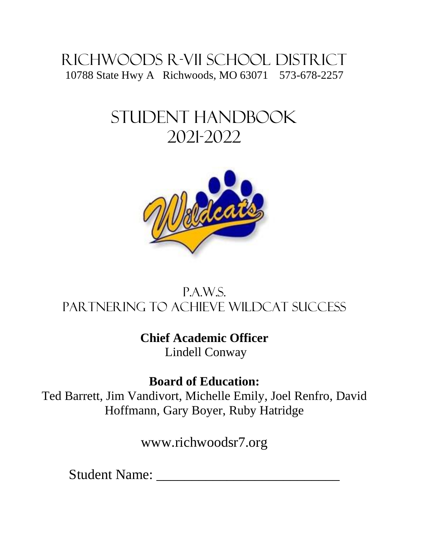# Richwoods r-vii school district 10788 State Hwy A Richwoods, MO 63071 573-678-2257

# Student handbook 2021-2022



# P.a.w.s. Partnering to Achieve wildcat success

**Chief Academic Officer**  Lindell Conway

**Board of Education:** Ted Barrett, Jim Vandivort, Michelle Emily, Joel Renfro, David Hoffmann, Gary Boyer, Ruby Hatridge

www.richwoodsr7.org

Student Name: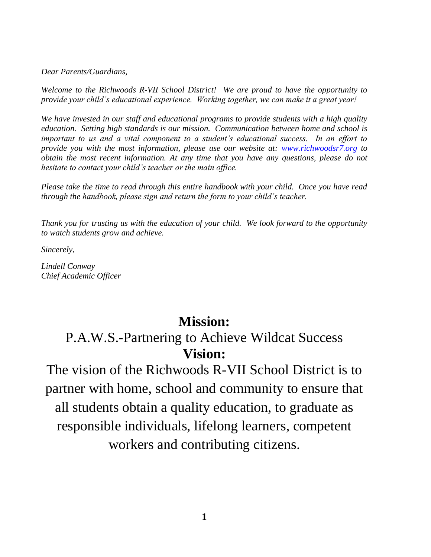*Dear Parents/Guardians,*

*Welcome to the Richwoods R-VII School District! We are proud to have the opportunity to provide your child's educational experience. Working together, we can make it a great year!*

*We have invested in our staff and educational programs to provide students with a high quality education. Setting high standards is our mission. Communication between home and school is important to us and a vital component to a student's educational success. In an effort to provide you with the most information, please use our website at: [ww](http://www.richwoodswildcats.org./)w.richwoodsr7.org to obtain the most recent information. At any time that you have any questions, please do not hesitate to contact your child's teacher or the main office.* 

*Please take the time to read through this entire handbook with your child. Once you have read through the handbook, please sign and return the form to your child's teacher.*

*Thank you for trusting us with the education of your child. We look forward to the opportunity to watch students grow and achieve.* 

*Sincerely,* 

*Lindell Conway Chief Academic Officer*

# **Mission:**

# P.A.W.S.-Partnering to Achieve Wildcat Success **Vision:**

The vision of the Richwoods R-VII School District is to partner with home, school and community to ensure that all students obtain a quality education, to graduate as responsible individuals, lifelong learners, competent workers and contributing citizens.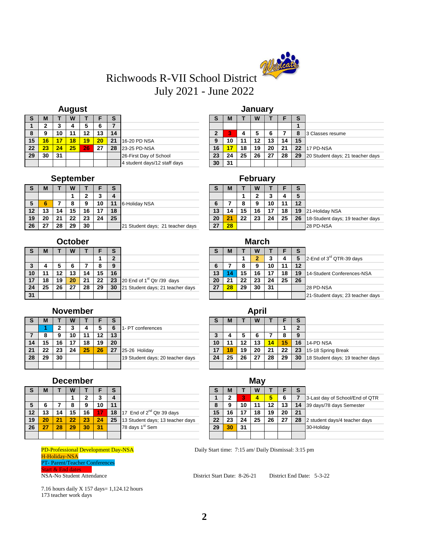

# Richwoods R-VII School District July 2021 - June 2022

### **August January**

| Ð               | м  |    | W  |    |                 |    |                              | c<br>G | м  |    | W  |     |    | $\bullet$<br>s |                                     |
|-----------------|----|----|----|----|-----------------|----|------------------------------|--------|----|----|----|-----|----|----------------|-------------------------------------|
|                 |    |    |    | w  |                 |    |                              |        |    |    |    |     |    |                |                                     |
| o               | 9  | 10 | 11 | 12 | 13              | 14 |                              |        |    |    |    | 6   |    |                | 3 Classes resume                    |
| 15 <sub>7</sub> | 16 | 17 | 18 | 19 | 20 <sub>2</sub> | 21 | 16-20 PD NSA                 | 9      | 10 |    |    | 13  | 14 | 15             |                                     |
| 22 <sub>2</sub> | 23 | 24 | 25 | 26 | 27              | 28 | 23-25 PD-NSA                 | 16     |    | 18 | 19 | 20  | 21 |                | <b>22 17 PD-NSA</b>                 |
| 29              | 30 | 31 |    |    |                 |    | 26-First Day of School       | 23     | 24 | 25 | 26 | -27 | 28 |                | 29 20 Student days; 21 teacher days |
|                 |    |    |    |    |                 |    | 4 student days/12 staff days | 30     | 31 |    |    |     |    |                |                                     |

|    |    |    | ----------- |    |    |        |                                  |    |                |    | - --- --- |    |    |    |                 |
|----|----|----|-------------|----|----|--------|----------------------------------|----|----------------|----|-----------|----|----|----|-----------------|
| ə  | М  |    | W           |    |    | c<br>c |                                  |    | M              |    | W         |    |    | S  |                 |
|    |    |    |             |    |    |        |                                  |    |                |    |           |    |    | э  |                 |
|    |    |    |             | 9  | 10 | 44     | 6-Holiday NSA                    |    |                |    |           | 10 |    | 12 |                 |
| 12 | w  | 14 | 15          | 16 |    | 18     |                                  | 13 | 14             | 15 | 16        | 17 | 18 | 19 | 21-Holiday NSA  |
| 19 | 20 | 21 | 22          | 23 | 24 | 25     |                                  | 20 | 2 <sub>1</sub> | 22 | 23        | 24 | 25 | 26 | 18-Student days |
| 26 | 27 | 28 | 29          | 30 |    |        | 21 Student days; 21 teacher days | 27 | 28             |    |           |    |    |    | 28 PD-NSA       |

## **October March**

|    | M  |    | W  |    |    |                   |                                  | C  | M  |    | M  |     |    | s  |                                      |
|----|----|----|----|----|----|-------------------|----------------------------------|----|----|----|----|-----|----|----|--------------------------------------|
|    |    |    |    |    |    | ◠                 |                                  |    |    |    |    |     |    |    | 2-End of 3 <sup>rd</sup> QTR-39 days |
|    |    |    |    |    |    | $\mathbf{\Omega}$ |                                  |    |    |    |    | 10  |    | 12 |                                      |
| 10 |    |    | 13 | 14 | 15 | 16                |                                  | 13 |    | 15 |    | דו  | 18 | 19 | 14-Student Conferences-NSA           |
|    | 18 | 19 | 20 | 21 | 22 | 23                | 20 End of $1st$ Qtr /39 days     | 20 | 21 | 22 | 23 | 24  | 25 | 26 |                                      |
| 24 | 25 | 26 | 27 | 28 | 29 | 30                | 21 Student days; 21 teacher days | 27 | 28 | 29 | 30 | -31 |    |    | 28 PD-NSA                            |
| 31 |    |    |    |    |    |                   |                                  |    |    |    |    |     |    |    | 21-Student days; 23 teacher days     |

### **November**

|    | М  |    | w  |    |    | S  |                                  |    | M  |    | W  |    |    |    |                     |
|----|----|----|----|----|----|----|----------------------------------|----|----|----|----|----|----|----|---------------------|
|    |    |    |    |    |    |    | 1- PT conferences                |    |    |    |    |    |    |    |                     |
|    |    |    | 10 | 11 |    | 13 |                                  | ×. |    | 5  |    |    | О  |    |                     |
| 14 | .5 | 16 |    | 18 | 19 | 20 |                                  | 10 |    | 12 | 13 |    | 15 | 16 | 14-PD NSA           |
|    | 22 | 23 | 24 | 25 | 26 | 27 | 25-26 Holiday                    | 17 | 18 | 19 | 20 | 21 | 22 | 23 | 15-18 Spring Break  |
| 28 | 29 | 30 |    |    |    |    | 19 Student days; 20 teacher days | 24 | 25 | 26 | 27 | 28 | 29 | 30 | 18 Student days; 19 |
|    |    |    |    |    |    |    |                                  |    |    |    |    |    |    |    |                     |

### **December**

|    | M  |     | W  |    |    |                 |                                     |    | м  |    | W  |    |    |    |                               |
|----|----|-----|----|----|----|-----------------|-------------------------------------|----|----|----|----|----|----|----|-------------------------------|
|    |    |     |    |    |    |                 |                                     |    |    |    |    |    |    |    | 3-Last day of School/End of Q |
|    |    |     |    |    | 10 | 11              |                                     |    |    | 10 |    |    | 13 | 14 | 39 days/78 days Semester      |
| 12 |    | 14. | 15 | 16 |    |                 | 18 $17$ End of $2^{nd}$ Qtr 39 days | 15 | 16 |    | 18 | 19 | 20 | 21 |                               |
| 19 | 20 | 21  | 22 | 23 | 24 | 25 <sub>2</sub> | 13 Student days; 13 teacher days    | 22 | 23 | 24 | 25 | 26 | 27 | 28 | 2 student days/4 teacher days |
| 26 |    | 28  | 29 | 30 | 31 |                 | 78 days 1 <sup>st</sup> Sem         | 29 | 30 | 31 |    |    |    |    | 30-Holidav                    |
|    |    |     |    |    |    |                 |                                     |    |    |    |    |    |    |    |                               |

H-Holiday-NSA PT- Parent/Teacher Conferences Start & End dates

NSA-No Student Attendance District Start Date: 8-26-21 District End Date: 5-3-22

Daily Start time:  $7:15$  am/ Daily Dismissal:  $3:15$  pm

|     |    |                                  |    |    |    | 11141 VII |    |    |    |                                      |
|-----|----|----------------------------------|----|----|----|-----------|----|----|----|--------------------------------------|
| F   | S  |                                  | S  | M  |    | w         |    |    | S  |                                      |
|     | າ  |                                  |    |    |    |           |    |    | 5  | 2-End of 3 <sup>rd</sup> QTR-39 days |
| 8   | 9  |                                  | 6  |    |    |           | 10 | 11 | 12 |                                      |
| 15  | 16 |                                  | 13 | 4  | 15 | 16        |    | 18 | 19 | 14-Student Conferences-NSA           |
| 22. |    | 23 20 End of $1st$ Qtr /39 days  | 20 | 21 | 22 | 23        | 24 | 25 | 26 |                                      |
| 29  | 30 | 21 Student days; 21 teacher days | 27 | 28 | 29 | 30        | 31 |    |    | 28 PD-NSA                            |
|     |    |                                  |    |    |    |           |    |    |    | 21-Student days; 23 teacher days     |
|     |    |                                  |    |    |    |           |    |    |    |                                      |

|    |    |    |    | <b>November</b> |    |    |                                  |    |    |    | April |    |    |    |                                  |
|----|----|----|----|-----------------|----|----|----------------------------------|----|----|----|-------|----|----|----|----------------------------------|
| s  | M  |    | W  |                 |    | S. |                                  |    | M  |    | W     |    |    | S  |                                  |
|    |    |    | ×. |                 |    | 6  | I-PT conferences                 |    |    |    |       |    |    | っ  |                                  |
| ⇁  |    | 9  | 10 | 11              | 12 | 13 |                                  |    |    |    |       |    |    | 9  |                                  |
| 14 | 15 | 16 | 17 | 18              | 19 | 20 |                                  | 10 | 11 | 12 | 13    | 14 | 15 | 16 | 14-PD NSA                        |
| 21 | 22 | 23 | 24 | 25              | 26 | 27 | 25-26 Holiday                    | 17 | 18 | 19 | 20    | 21 | 22 | 23 | 15-18 Spring Break               |
| 28 | 29 | 30 |    |                 |    |    | 19 Student days; 20 teacher days | 24 | 25 | 26 | 27    | 28 | 29 | 30 | 18 Student days; 19 teacher days |
|    |    |    |    |                 |    |    |                                  |    |    |    |       |    |    |    |                                  |

|    | mber! |    |    |                                       |    |    |    | May |    |    |    |                                 |
|----|-------|----|----|---------------------------------------|----|----|----|-----|----|----|----|---------------------------------|
| N  |       |    | s  |                                       | S  | м  |    | W   |    |    | s  |                                 |
|    | ◠     | J. | 4  |                                       |    |    |    | 4   |    |    |    | 3-Last day of School/End of QTR |
| 8  | 9     | 10 | 11 |                                       | 8  | 9  | 10 | 11  | 12 | 13 | 14 | 39 days/78 days Semester        |
| '5 | 16    |    | 18 | 17 End of 2 <sup>nd</sup> Qtr 39 days | 15 | 16 |    | 18  | 19 | 20 | 21 |                                 |
|    | 23    | 24 | 25 | 13 Student days; 13 teacher days      | 22 | 23 | 24 | 25  | 26 | 27 | 28 | 2 student days/4 teacher days   |
| 29 | 30    | 31 |    | 78 days 1 <sup>st</sup> Sem           | 29 | 30 | 31 |     |    |    |    | 30-Holiday                      |
|    |       |    |    |                                       |    |    |    |     |    |    |    |                                 |

7.16 hours daily X 157 days= 1,124.12 hours 173 teacher work days

|    |    |    |    |    |    | 8  | 3 Classes resume                 |
|----|----|----|----|----|----|----|----------------------------------|
| 9  | 10 |    | 12 | 13 | 14 | 15 |                                  |
| 16 |    | 18 | 19 | 20 |    | つつ | 17 PD-NSA                        |
| 23 | 24 | 25 | 26 | 27 | 28 | 29 | 20 Student days; 21 teacher days |
| 30 |    |    |    |    |    |    |                                  |

### **September February**

|                 | ---------- |    |    |    |    |    |                                  |    |    |    | .  |    |    |    |                                  |
|-----------------|------------|----|----|----|----|----|----------------------------------|----|----|----|----|----|----|----|----------------------------------|
| S               | M          |    | W  |    |    | c  |                                  | O  | M  |    | W  |    |    |    |                                  |
|                 |            |    |    |    |    |    |                                  |    |    |    |    |    |    |    |                                  |
| 5               |            |    |    |    | 10 | 11 | 6-Holiday NSA                    |    |    |    |    |    |    | 12 |                                  |
| 12 <sup>1</sup> | 13         | 14 | 15 | 16 |    | 18 |                                  | 13 | 14 | 15 | 16 |    | 18 |    | 19 21-Holiday NSA                |
| 19              | 20         | 21 | 22 | 23 | 24 | 25 |                                  | 20 | 21 | 22 | 23 | 24 | 25 | 26 | 18-Student days; 19 teacher days |
| 26              | 27         | 28 | 29 | 30 |    |    | 21 Student days; 21 teacher days | 27 | 28 |    |    |    |    |    | 28 PD-NSA                        |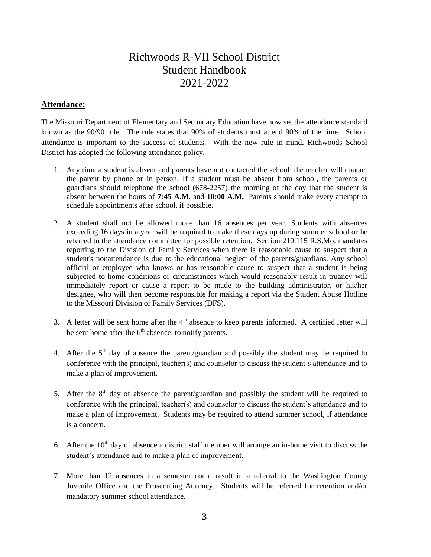# Richwoods R-VII School District Student Handbook 2021-2022

#### **Attendance:**

The Missouri Department of Elementary and Secondary Education have now set the attendance standard known as the 90/90 rule. The rule states that 90% of students must attend 90% of the time. School attendance is important to the success of students. With the new rule in mind, Richwoods School District has adopted the following attendance policy.

- 1. Any time a student is absent and parents have not contacted the school, the teacher will contact the parent by phone or in person. If a student must be absent from school, the parents or guardians should telephone the school (678-2257) the morning of the day that the student is absent between the hours of **7:45 A.M**. and **10:00 A.M.** Parents should make every attempt to schedule appointments after school, if possible.
- 2. A student shall not be allowed more than 16 absences per year. Students with absences exceeding 16 days in a year will be required to make these days up during summer school or be referred to the attendance committee for possible retention. Section 210.115 R.S.Mo. mandates reporting to the Division of Family Services when there is reasonable cause to suspect that a student's nonattendance is due to the educational neglect of the parents/guardians. Any school official or employee who knows or has reasonable cause to suspect that a student is being subjected to home conditions or circumstances which would reasonably result in truancy will immediately report or cause a report to be made to the building administrator, or his/her designee, who will then become responsible for making a report via the Student Abuse Hotline to the Missouri Division of Family Services (DFS).
- 3. A letter will be sent home after the  $4<sup>th</sup>$  absence to keep parents informed. A certified letter will be sent home after the  $6<sup>th</sup>$  absence, to notify parents.
- 4. After the  $5<sup>th</sup>$  day of absence the parent/guardian and possibly the student may be required to conference with the principal, teacher(s) and counselor to discuss the student's attendance and to make a plan of improvement.
- 5. After the  $8<sup>th</sup>$  day of absence the parent/guardian and possibly the student will be required to conference with the principal, teacher(s) and counselor to discuss the student's attendance and to make a plan of improvement. Students may be required to attend summer school, if attendance is a concern.
- 6. After the  $10<sup>th</sup>$  day of absence a district staff member will arrange an in-home visit to discuss the student's attendance and to make a plan of improvement.
- 7. More than 12 absences in a semester could result in a referral to the Washington County Juvenile Office and the Prosecuting Attorney. Students will be referred for retention and/or mandatory summer school attendance.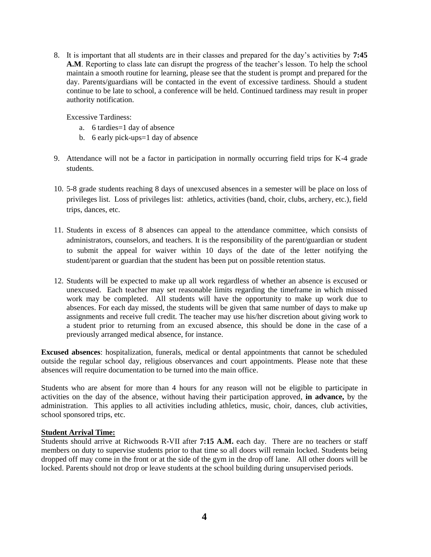8. It is important that all students are in their classes and prepared for the day's activities by **7:45 A.M**. Reporting to class late can disrupt the progress of the teacher's lesson. To help the school maintain a smooth routine for learning, please see that the student is prompt and prepared for the day. Parents/guardians will be contacted in the event of excessive tardiness. Should a student continue to be late to school, a conference will be held. Continued tardiness may result in proper authority notification.

Excessive Tardiness:

- a. 6 tardies=1 day of absence
- b. 6 early pick-ups=1 day of absence
- 9. Attendance will not be a factor in participation in normally occurring field trips for K-4 grade students.
- 10. 5-8 grade students reaching 8 days of unexcused absences in a semester will be place on loss of privileges list. Loss of privileges list: athletics, activities (band, choir, clubs, archery, etc.), field trips, dances, etc.
- 11. Students in excess of 8 absences can appeal to the attendance committee, which consists of administrators, counselors, and teachers. It is the responsibility of the parent/guardian or student to submit the appeal for waiver within 10 days of the date of the letter notifying the student/parent or guardian that the student has been put on possible retention status.
- 12. Students will be expected to make up all work regardless of whether an absence is excused or unexcused. Each teacher may set reasonable limits regarding the timeframe in which missed work may be completed. All students will have the opportunity to make up work due to absences. For each day missed, the students will be given that same number of days to make up assignments and receive full credit. The teacher may use his/her discretion about giving work to a student prior to returning from an excused absence, this should be done in the case of a previously arranged medical absence, for instance.

**Excused absences**: hospitalization, funerals, medical or dental appointments that cannot be scheduled outside the regular school day, religious observances and court appointments. Please note that these absences will require documentation to be turned into the main office.

Students who are absent for more than 4 hours for any reason will not be eligible to participate in activities on the day of the absence, without having their participation approved, **in advance,** by the administration. This applies to all activities including athletics, music, choir, dances, club activities, school sponsored trips, etc.

#### **Student Arrival Time:**

Students should arrive at Richwoods R-VII after **7:15 A.M.** each day. There are no teachers or staff members on duty to supervise students prior to that time so all doors will remain locked. Students being dropped off may come in the front or at the side of the gym in the drop off lane. All other doors will be locked. Parents should not drop or leave students at the school building during unsupervised periods.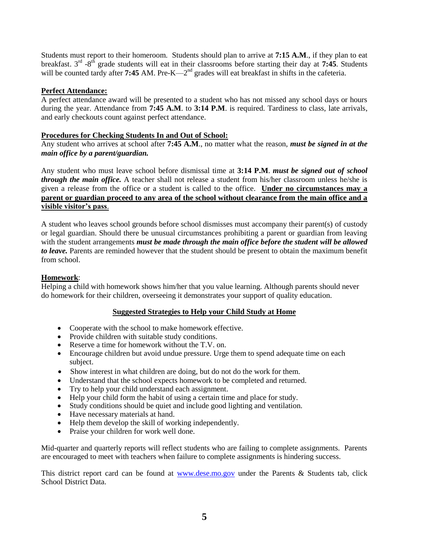Students must report to their homeroom. Students should plan to arrive at **7:15 A.M**., if they plan to eat breakfast. 3<sup>rd</sup> -8<sup>th</sup> grade students will eat in their classrooms before starting their day at **7:45**. Students will be counted tardy after **7:45** AM. Pre-K—2<sup>nd</sup> grades will eat breakfast in shifts in the cafeteria.

#### **Perfect Attendance:**

A perfect attendance award will be presented to a student who has not missed any school days or hours during the year. Attendance from **7:45 A.M**. to **3:14 P.M**. is required. Tardiness to class, late arrivals, and early checkouts count against perfect attendance.

#### **Procedures for Checking Students In and Out of School:**

Any student who arrives at school after **7:45 A.M**., no matter what the reason, *must be signed in at the main office by a parent/guardian.*

Any student who must leave school before dismissal time at **3:14 P.M**. *must be signed out of school through the main office.* A teacher shall not release a student from his/her classroom unless he/she is given a release from the office or a student is called to the office. **Under no circumstances may a parent or guardian proceed to any area of the school without clearance from the main office and a visible visitor's pass**.

A student who leaves school grounds before school dismisses must accompany their parent(s) of custody or legal guardian. Should there be unusual circumstances prohibiting a parent or guardian from leaving with the student arrangements *must be made through the main office before the student will be allowed to leave.* Parents are reminded however that the student should be present to obtain the maximum benefit from school.

#### **Homework**:

Helping a child with homework shows him/her that you value learning. Although parents should never do homework for their children, overseeing it demonstrates your support of quality education.

#### **Suggested Strategies to Help your Child Study at Home**

- Cooperate with the school to make homework effective.
- Provide children with suitable study conditions.
- Reserve a time for homework without the T.V. on.
- Encourage children but avoid undue pressure. Urge them to spend adequate time on each subject.
- Show interest in what children are doing, but do not do the work for them.
- Understand that the school expects homework to be completed and returned.
- Try to help your child understand each assignment.
- Help your child form the habit of using a certain time and place for study.
- Study conditions should be quiet and include good lighting and ventilation.
- Have necessary materials at hand.
- Help them develop the skill of working independently.
- Praise your children for work well done.

Mid-quarter and quarterly reports will reflect students who are failing to complete assignments. Parents are encouraged to meet with teachers when failure to complete assignments is hindering success.

This district report card can be found at [www.dese.mo.gov](http://www.dese.mo.gov/) under the Parents & Students tab, click School District Data.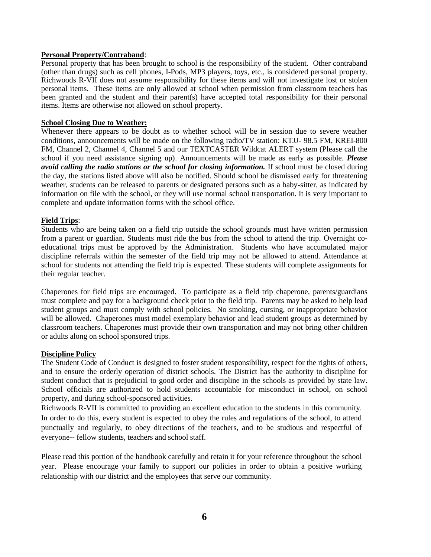#### **Personal Property/Contraband**:

Personal property that has been brought to school is the responsibility of the student. Other contraband (other than drugs) such as cell phones, I-Pods, MP3 players, toys, etc., is considered personal property. Richwoods R-VII does not assume responsibility for these items and will not investigate lost or stolen personal items. These items are only allowed at school when permission from classroom teachers has been granted and the student and their parent(s) have accepted total responsibility for their personal items. Items are otherwise not allowed on school property.

#### **School Closing Due to Weather:**

Whenever there appears to be doubt as to whether school will be in session due to severe weather conditions, announcements will be made on the following radio/TV station: KTJJ- 98.5 FM, KREI-800 FM, Channel 2, Channel 4, Channel 5 and our TEXTCASTER Wildcat ALERT system (Please call the school if you need assistance signing up). Announcements will be made as early as possible. *Please avoid calling the radio stations or the school for closing information.* If school must be closed during the day, the stations listed above will also be notified. Should school be dismissed early for threatening weather, students can be released to parents or designated persons such as a baby-sitter, as indicated by information on file with the school, or they will use normal school transportation. It is very important to complete and update information forms with the school office.

#### **Field Trips**:

Students who are being taken on a field trip outside the school grounds must have written permission from a parent or guardian. Students must ride the bus from the school to attend the trip. Overnight coeducational trips must be approved by the Administration. Students who have accumulated major discipline referrals within the semester of the field trip may not be allowed to attend. Attendance at school for students not attending the field trip is expected. These students will complete assignments for their regular teacher.

Chaperones for field trips are encouraged. To participate as a field trip chaperone, parents/guardians must complete and pay for a background check prior to the field trip. Parents may be asked to help lead student groups and must comply with school policies. No smoking, cursing, or inappropriate behavior will be allowed. Chaperones must model exemplary behavior and lead student groups as determined by classroom teachers. Chaperones must provide their own transportation and may not bring other children or adults along on school sponsored trips.

#### **Discipline Policy**

The Student Code of Conduct is designed to foster student responsibility, respect for the rights of others, and to ensure the orderly operation of district schools. The District has the authority to discipline for student conduct that is prejudicial to good order and discipline in the schools as provided by state law. School officials are authorized to hold students accountable for misconduct in school, on school property, and during school-sponsored activities.

Richwoods R-VII is committed to providing an excellent education to the students in this community. In order to do this, every student is expected to obey the rules and regulations of the school, to attend punctually and regularly, to obey directions of the teachers, and to be studious and respectful of everyone-- fellow students, teachers and school staff.

Please read this portion of the handbook carefully and retain it for your reference throughout the school year. Please encourage your family to support our policies in order to obtain a positive working relationship with our district and the employees that serve our community.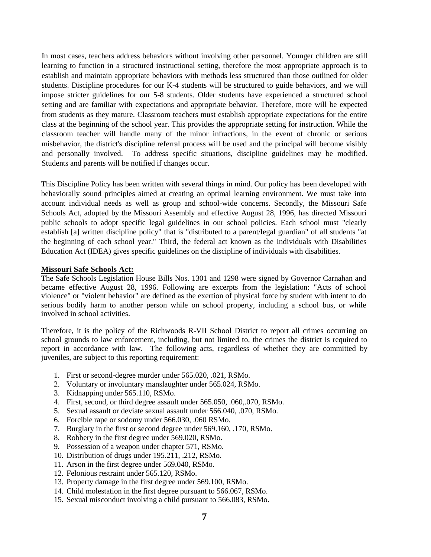In most cases, teachers address behaviors without involving other personnel. Younger children are still learning to function in a structured instructional setting, therefore the most appropriate approach is to establish and maintain appropriate behaviors with methods less structured than those outlined for older students. Discipline procedures for our K-4 students will be structured to guide behaviors, and we will impose stricter guidelines for our 5-8 students. Older students have experienced a structured school setting and are familiar with expectations and appropriate behavior. Therefore, more will be expected from students as they mature. Classroom teachers must establish appropriate expectations for the entire class at the beginning of the school year. This provides the appropriate setting for instruction. While the classroom teacher will handle many of the minor infractions, in the event of chronic or serious misbehavior, the district's discipline referral process will be used and the principal will become visibly and personally involved. To address specific situations, discipline guidelines may be modified. Students and parents will be notified if changes occur.

This Discipline Policy has been written with several things in mind. Our policy has been developed with behaviorally sound principles aimed at creating an optimal learning environment. We must take into account individual needs as well as group and school-wide concerns. Secondly, the Missouri Safe Schools Act, adopted by the Missouri Assembly and effective August 28, 1996, has directed Missouri public schools to adopt specific legal guidelines in our school policies. Each school must "clearly establish [a] written discipline policy" that is "distributed to a parent/legal guardian" of all students "at the beginning of each school year." Third, the federal act known as the Individuals with Disabilities Education Act (IDEA) gives specific guidelines on the discipline of individuals with disabilities.

#### **Missouri Safe Schools Act:**

The Safe Schools Legislation House Bills Nos. 1301 and 1298 were signed by Governor Carnahan and became effective August 28, 1996. Following are excerpts from the legislation: "Acts of school violence" or "violent behavior" are defined as the exertion of physical force by student with intent to do serious bodily harm to another person while on school property, including a school bus, or while involved in school activities.

Therefore, it is the policy of the Richwoods R-VII School District to report all crimes occurring on school grounds to law enforcement, including, but not limited to, the crimes the district is required to report in accordance with law. The following acts, regardless of whether they are committed by juveniles, are subject to this reporting requirement:

- 1. First or second-degree murder under 565.020, .021, RSMo.
- 2. Voluntary or involuntary manslaughter under 565.024, RSMo.
- 3. Kidnapping under 565.110, RSMo.
- 4. First, second, or third degree assault under 565.050, .060,.070, RSMo.
- 5. Sexual assault or deviate sexual assault under 566.040, .070, RSMo.
- 6. Forcible rape or sodomy under 566.030, .060 RSMo.
- 7. Burglary in the first or second degree under 569.160, .170, RSMo.
- 8. Robbery in the first degree under 569.020, RSMo.
- 9. Possession of a weapon under chapter 571, RSMo.
- 10. Distribution of drugs under 195.211, .212, RSMo.
- 11. Arson in the first degree under 569.040, RSMo.
- 12. Felonious restraint under 565.120, RSMo.
- 13. Property damage in the first degree under 569.100, RSMo.
- 14. Child molestation in the first degree pursuant to 566.067, RSMo.
- 15. Sexual misconduct involving a child pursuant to 566.083, RSMo.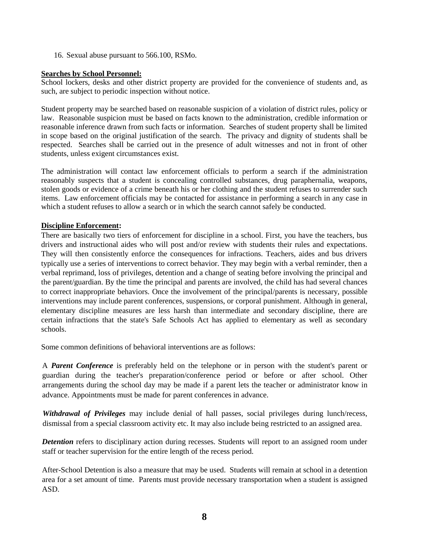16. Sexual abuse pursuant to 566.100, RSMo.

#### **Searches by School Personnel:**

School lockers, desks and other district property are provided for the convenience of students and, as such, are subject to periodic inspection without notice.

Student property may be searched based on reasonable suspicion of a violation of district rules, policy or law. Reasonable suspicion must be based on facts known to the administration, credible information or reasonable inference drawn from such facts or information. Searches of student property shall be limited in scope based on the original justification of the search. The privacy and dignity of students shall be respected. Searches shall be carried out in the presence of adult witnesses and not in front of other students, unless exigent circumstances exist.

The administration will contact law enforcement officials to perform a search if the administration reasonably suspects that a student is concealing controlled substances, drug paraphernalia, weapons, stolen goods or evidence of a crime beneath his or her clothing and the student refuses to surrender such items. Law enforcement officials may be contacted for assistance in performing a search in any case in which a student refuses to allow a search or in which the search cannot safely be conducted.

#### **Discipline Enforcement:**

There are basically two tiers of enforcement for discipline in a school. First, you have the teachers, bus drivers and instructional aides who will post and/or review with students their rules and expectations. They will then consistently enforce the consequences for infractions. Teachers, aides and bus drivers typically use a series of interventions to correct behavior. They may begin with a verbal reminder, then a verbal reprimand, loss of privileges, detention and a change of seating before involving the principal and the parent/guardian. By the time the principal and parents are involved, the child has had several chances to correct inappropriate behaviors. Once the involvement of the principal/parents is necessary, possible interventions may include parent conferences, suspensions, or corporal punishment. Although in general, elementary discipline measures are less harsh than intermediate and secondary discipline, there are certain infractions that the state's Safe Schools Act has applied to elementary as well as secondary schools.

Some common definitions of behavioral interventions are as follows:

A *Parent Conference* is preferably held on the telephone or in person with the student's parent or guardian during the teacher's preparation/conference period or before or after school. Other arrangements during the school day may be made if a parent lets the teacher or administrator know in advance. Appointments must be made for parent conferences in advance.

*Withdrawal of Privileges* may include denial of hall passes, social privileges during lunch/recess, dismissal from a special classroom activity etc. It may also include being restricted to an assigned area.

*Detention* refers to disciplinary action during recesses. Students will report to an assigned room under staff or teacher supervision for the entire length of the recess period.

After-School Detention is also a measure that may be used. Students will remain at school in a detention area for a set amount of time. Parents must provide necessary transportation when a student is assigned ASD.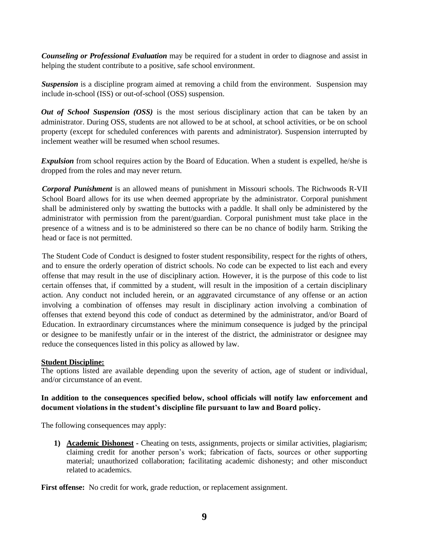*Counseling or Professional Evaluation* may be required for a student in order to diagnose and assist in helping the student contribute to a positive, safe school environment.

**Suspension** is a discipline program aimed at removing a child from the environment. Suspension may include in-school (ISS) or out-of-school (OSS) suspension.

*Out of School Suspension (OSS)* is the most serious disciplinary action that can be taken by an administrator. During OSS, students are not allowed to be at school, at school activities, or be on school property (except for scheduled conferences with parents and administrator). Suspension interrupted by inclement weather will be resumed when school resumes.

**Expulsion** from school requires action by the Board of Education. When a student is expelled, he/she is dropped from the roles and may never return.

*Corporal Punishment* is an allowed means of punishment in Missouri schools. The Richwoods R-VII School Board allows for its use when deemed appropriate by the administrator. Corporal punishment shall be administered only by swatting the buttocks with a paddle. It shall only be administered by the administrator with permission from the parent/guardian. Corporal punishment must take place in the presence of a witness and is to be administered so there can be no chance of bodily harm. Striking the head or face is not permitted.

The Student Code of Conduct is designed to foster student responsibility, respect for the rights of others, and to ensure the orderly operation of district schools. No code can be expected to list each and every offense that may result in the use of disciplinary action. However, it is the purpose of this code to list certain offenses that, if committed by a student, will result in the imposition of a certain disciplinary action. Any conduct not included herein, or an aggravated circumstance of any offense or an action involving a combination of offenses may result in disciplinary action involving a combination of offenses that extend beyond this code of conduct as determined by the administrator, and/or Board of Education. In extraordinary circumstances where the minimum consequence is judged by the principal or designee to be manifestly unfair or in the interest of the district, the administrator or designee may reduce the consequences listed in this policy as allowed by law.

#### **Student Discipline:**

The options listed are available depending upon the severity of action, age of student or individual, and/or circumstance of an event.

#### **In addition to the consequences specified below, school officials will notify law enforcement and document violations in the student's discipline file pursuant to law and Board policy.**

The following consequences may apply:

**1) Academic Dishonest -** Cheating on tests, assignments, projects or similar activities, plagiarism; claiming credit for another person's work; fabrication of facts, sources or other supporting material; unauthorized collaboration; facilitating academic dishonesty; and other misconduct related to academics.

First offense: No credit for work, grade reduction, or replacement assignment.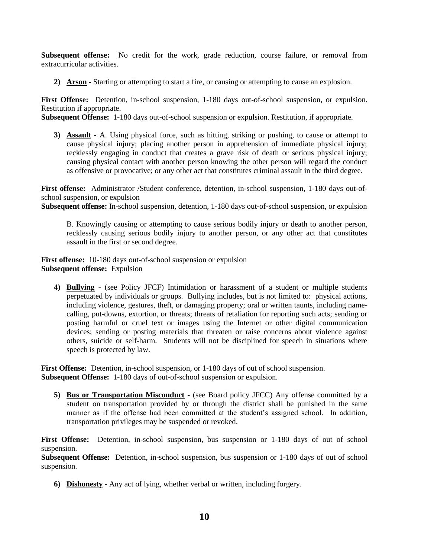**Subsequent offense:** No credit for the work, grade reduction, course failure, or removal from extracurricular activities.

**2) Arson -** Starting or attempting to start a fire, or causing or attempting to cause an explosion.

First Offense: Detention, in-school suspension, 1-180 days out-of-school suspension, or expulsion. Restitution if appropriate.

**Subsequent Offense:**1-180 days out-of-school suspension or expulsion. Restitution, if appropriate.

**3) Assault -** A. Using physical force, such as hitting, striking or pushing, to cause or attempt to cause physical injury; placing another person in apprehension of immediate physical injury; recklessly engaging in conduct that creates a grave risk of death or serious physical injury; causing physical contact with another person knowing the other person will regard the conduct as offensive or provocative; or any other act that constitutes criminal assault in the third degree.

**First offense:** Administrator /Student conference, detention, in-school suspension, 1-180 days out-ofschool suspension, or expulsion

**Subsequent offense:** In-school suspension, detention, 1-180 days out-of-school suspension, or expulsion

B. Knowingly causing or attempting to cause serious bodily injury or death to another person, recklessly causing serious bodily injury to another person, or any other act that constitutes assault in the first or second degree.

**First offense:** 10-180 days out-of-school suspension or expulsion **Subsequent offense:** Expulsion

**4) Bullying -** (see Policy JFCF) Intimidation or harassment of a student or multiple students perpetuated by individuals or groups. Bullying includes, but is not limited to: physical actions, including violence, gestures, theft, or damaging property; oral or written taunts, including namecalling, put-downs, extortion, or threats; threats of retaliation for reporting such acts; sending or posting harmful or cruel text or images using the Internet or other digital communication devices; sending or posting materials that threaten or raise concerns about violence against others, suicide or self-harm. Students will not be disciplined for speech in situations where speech is protected by law.

**First Offense:** Detention, in-school suspension, or  $1-180$  days of out of school suspension. **Subsequent Offense:** 1-180 days of out-of-school suspension or expulsion.

**5) Bus or Transportation Misconduct -** (see Board policy JFCC) Any offense committed by a student on transportation provided by or through the district shall be punished in the same manner as if the offense had been committed at the student's assigned school. In addition, transportation privileges may be suspended or revoked.

**First Offense:** Detention, in-school suspension, bus suspension or 1-180 days of out of school suspension.

**Subsequent Offense:** Detention, in-school suspension, bus suspension or 1-180 days of out of school suspension.

**6) Dishonesty -** Any act of lying, whether verbal or written, including forgery.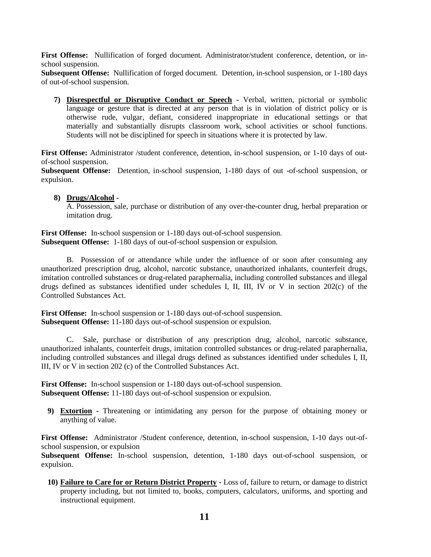**First Offense:** Nullification of forged document. Administrator/student conference, detention, or inschool suspension.

**Subsequent Offense:** Nullification of forged document. Detention, in-school suspension, or 1-180 days of out-of-school suspension.

**7) Disrespectful or Disruptive Conduct or Speech -** Verbal, written, pictorial or symbolic language or gesture that is directed at any person that is in violation of district policy or is otherwise rude, vulgar, defiant, considered inappropriate in educational settings or that materially and substantially disrupts classroom work, school activities or school functions. Students will not be disciplined for speech in situations where it is protected by law.

**First Offense:** Administrator /student conference, detention, in-school suspension, or 1-10 days of outof-school suspension.

**Subsequent Offense:** Detention, in-school suspension, 1-180 days of out -of-school suspension, or expulsion.

#### **8) Drugs/Alcohol -**

A. Possession, sale, purchase or distribution of any over-the-counter drug, herbal preparation or imitation drug.

**First Offense:** In-school suspension or 1-180 days out-of-school suspension. **Subsequent Offense:** 1-180 days of out-of-school suspension or expulsion.

B. Possession of or attendance while under the influence of or soon after consuming any unauthorized prescription drug, alcohol, narcotic substance, unauthorized inhalants, counterfeit drugs, imitation controlled substances or drug-related paraphernalia, including controlled substances and illegal drugs defined as substances identified under schedules I, II, III, IV or V in section 202(c) of the Controlled Substances Act.

**First Offense:** In-school suspension or 1-180 days out-of-school suspension. **Subsequent Offense:** 11-180 days out-of-school suspension or expulsion.

C. Sale, purchase or distribution of any prescription drug, alcohol, narcotic substance, unauthorized inhalants, counterfeit drugs, imitation controlled substances or drug-related paraphernalia, including controlled substances and illegal drugs defined as substances identified under schedules I, II, III, IV or V in section 202 (c) of the Controlled Substances Act.

**First Offense:** In-school suspension or 1-180 days out-of-school suspension. **Subsequent Offense:** 11-180 days out-of-school suspension or expulsion.

**9) Extortion -** Threatening or intimidating any person for the purpose of obtaining money or anything of value.

**First Offense:** Administrator /Student conference, detention, in-school suspension, 1-10 days out-ofschool suspension, or expulsion

**Subsequent Offense:** In-school suspension, detention, 1-180 days out-of-school suspension, or expulsion.

**10) Failure to Care for or Return District Property -** Loss of, failure to return, or damage to district property including, but not limited to, books, computers, calculators, uniforms, and sporting and instructional equipment.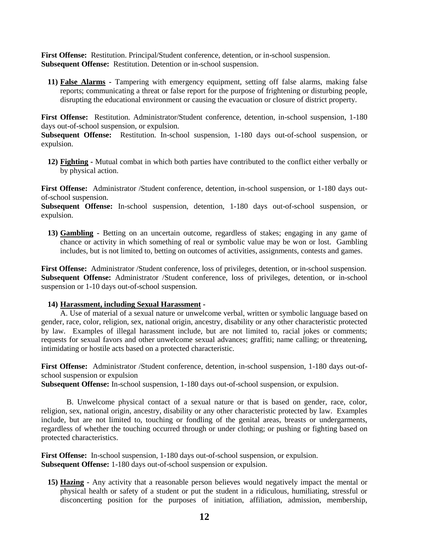**First Offense:** Restitution. Principal/Student conference, detention, or in-school suspension. **Subsequent Offense:** Restitution. Detention or in-school suspension.

**11) False Alarms -** Tampering with emergency equipment, setting off false alarms, making false reports; communicating a threat or false report for the purpose of frightening or disturbing people, disrupting the educational environment or causing the evacuation or closure of district property.

**First Offense:** Restitution. Administrator/Student conference, detention, in-school suspension, 1-180 days out-of-school suspension, or expulsion.

**Subsequent Offense:** Restitution. In-school suspension, 1-180 days out-of-school suspension, or expulsion.

**12) Fighting -** Mutual combat in which both parties have contributed to the conflict either verbally or by physical action.

**First Offense:** Administrator /Student conference, detention, in-school suspension, or 1-180 days outof-school suspension.

**Subsequent Offense:** In-school suspension, detention, 1-180 days out-of-school suspension, or expulsion.

**13) Gambling -** Betting on an uncertain outcome, regardless of stakes; engaging in any game of chance or activity in which something of real or symbolic value may be won or lost. Gambling includes, but is not limited to, betting on outcomes of activities, assignments, contests and games.

**First Offense:** Administrator /Student conference, loss of privileges, detention, or in-school suspension. **Subsequent Offense:** Administrator /Student conference, loss of privileges, detention, or in-school suspension or 1-10 days out-of-school suspension.

#### **14) Harassment, including Sexual Harassment -**

A. Use of material of a sexual nature or unwelcome verbal, written or symbolic language based on gender, race, color, religion, sex, national origin, ancestry, disability or any other characteristic protected by law. Examples of illegal harassment include, but are not limited to, racial jokes or comments; requests for sexual favors and other unwelcome sexual advances; graffiti; name calling; or threatening, intimidating or hostile acts based on a protected characteristic.

**First Offense:** Administrator /Student conference, detention, in-school suspension, 1-180 days out-ofschool suspension or expulsion

**Subsequent Offense:** In-school suspension, 1-180 days out-of-school suspension, or expulsion.

B. Unwelcome physical contact of a sexual nature or that is based on gender, race, color, religion, sex, national origin, ancestry, disability or any other characteristic protected by law. Examples include, but are not limited to, touching or fondling of the genital areas, breasts or undergarments, regardless of whether the touching occurred through or under clothing; or pushing or fighting based on protected characteristics.

**First Offense:** In-school suspension, 1-180 days out-of-school suspension, or expulsion. **Subsequent Offense:** 1-180 days out-of-school suspension or expulsion.

**15) Hazing -** Any activity that a reasonable person believes would negatively impact the mental or physical health or safety of a student or put the student in a ridiculous, humiliating, stressful or disconcerting position for the purposes of initiation, affiliation, admission, membership,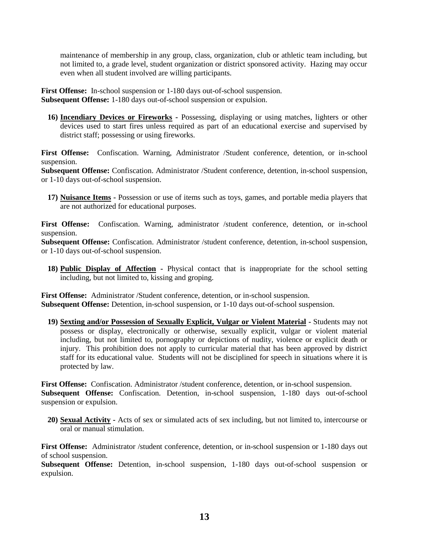maintenance of membership in any group, class, organization, club or athletic team including, but not limited to, a grade level, student organization or district sponsored activity. Hazing may occur even when all student involved are willing participants.

**First Offense:** In-school suspension or 1-180 days out-of-school suspension. **Subsequent Offense:** 1-180 days out-of-school suspension or expulsion.

**16) Incendiary Devices or Fireworks -** Possessing, displaying or using matches, lighters or other devices used to start fires unless required as part of an educational exercise and supervised by district staff; possessing or using fireworks.

**First Offense:** Confiscation. Warning, Administrator /Student conference, detention, or in-school suspension.

**Subsequent Offense:** Confiscation. Administrator /Student conference, detention, in-school suspension, or 1-10 days out-of-school suspension.

**17) Nuisance Items -** Possession or use of items such as toys, games, and portable media players that are not authorized for educational purposes.

First Offense: Confiscation. Warning, administrator /student conference, detention, or in-school suspension.

**Subsequent Offense:** Confiscation. Administrator /student conference, detention, in-school suspension, or 1-10 days out-of-school suspension.

**18) Public Display of Affection -** Physical contact that is inappropriate for the school setting including, but not limited to, kissing and groping.

**First Offense:** Administrator /Student conference, detention, or in-school suspension. **Subsequent Offense:** Detention, in-school suspension, or 1-10 days out-of-school suspension.

**19) Sexting and/or Possession of Sexually Explicit, Vulgar or Violent Material -** Students may not possess or display, electronically or otherwise, sexually explicit, vulgar or violent material including, but not limited to, pornography or depictions of nudity, violence or explicit death or injury. This prohibition does not apply to curricular material that has been approved by district staff for its educational value. Students will not be disciplined for speech in situations where it is protected by law.

**First Offense:** Confiscation. Administrator /student conference, detention, or in-school suspension. **Subsequent Offense:** Confiscation. Detention, in-school suspension, 1-180 days out-of-school suspension or expulsion.

**20) Sexual Activity -** Acts of sex or simulated acts of sex including, but not limited to, intercourse or oral or manual stimulation.

**First Offense:** Administrator /student conference, detention, or in-school suspension or 1-180 days out of school suspension.

**Subsequent Offense:** Detention, in-school suspension, 1-180 days out-of-school suspension or expulsion.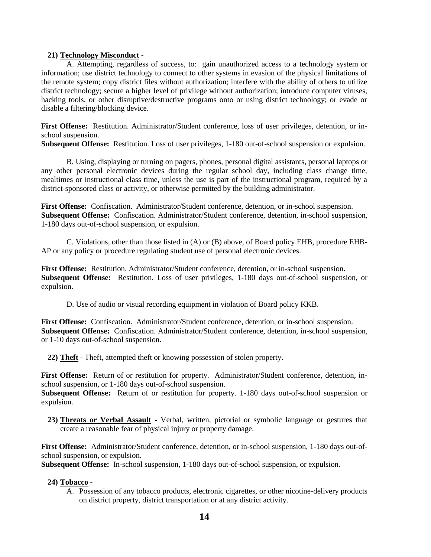#### **21) Technology Misconduct -**

A. Attempting, regardless of success, to: gain unauthorized access to a technology system or information; use district technology to connect to other systems in evasion of the physical limitations of the remote system; copy district files without authorization; interfere with the ability of others to utilize district technology; secure a higher level of privilege without authorization; introduce computer viruses, hacking tools, or other disruptive/destructive programs onto or using district technology; or evade or disable a filtering/blocking device.

**First Offense:** Restitution. Administrator/Student conference, loss of user privileges, detention, or inschool suspension.

**Subsequent Offense:** Restitution. Loss of user privileges, 1-180 out-of-school suspension or expulsion.

B. Using, displaying or turning on pagers, phones, personal digital assistants, personal laptops or any other personal electronic devices during the regular school day, including class change time, mealtimes or instructional class time, unless the use is part of the instructional program, required by a district-sponsored class or activity, or otherwise permitted by the building administrator.

**First Offense:** Confiscation. Administrator/Student conference, detention, or in-school suspension. **Subsequent Offense:** Confiscation. Administrator/Student conference, detention, in-school suspension, 1-180 days out-of-school suspension, or expulsion.

C. Violations, other than those listed in (A) or (B) above, of Board policy EHB, procedure EHB-AP or any policy or procedure regulating student use of personal electronic devices.

**First Offense:** Restitution. Administrator/Student conference, detention, or in-school suspension. **Subsequent Offense:** Restitution. Loss of user privileges, 1-180 days out-of-school suspension, or expulsion.

D. Use of audio or visual recording equipment in violation of Board policy KKB.

**First Offense:** Confiscation. Administrator/Student conference, detention, or in-school suspension. **Subsequent Offense:** Confiscation. Administrator/Student conference, detention, in-school suspension, or 1-10 days out-of-school suspension.

**22) Theft -** Theft, attempted theft or knowing possession of stolen property.

First Offense: Return of or restitution for property. Administrator/Student conference, detention, inschool suspension, or 1-180 days out-of-school suspension.

**Subsequent Offense:** Return of or restitution for property. 1-180 days out-of-school suspension or expulsion.

**23) Threats or Verbal Assault -** Verbal, written, pictorial or symbolic language or gestures that create a reasonable fear of physical injury or property damage.

**First Offense:** Administrator/Student conference, detention, or in-school suspension, 1-180 days out-ofschool suspension, or expulsion.

**Subsequent Offense:** In-school suspension, 1-180 days out-of-school suspension, or expulsion.

#### **24) Tobacco -**

A. Possession of any tobacco products, electronic cigarettes, or other nicotine-delivery products on district property, district transportation or at any district activity.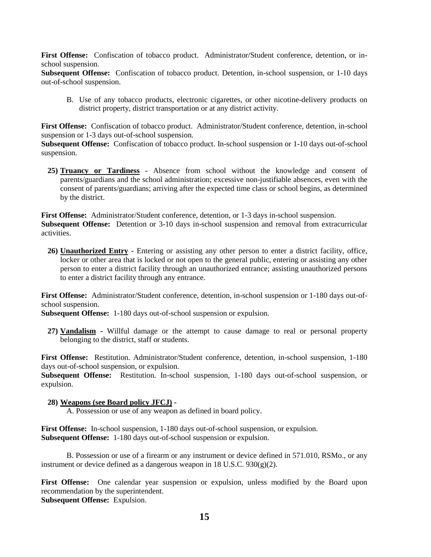**First Offense:** Confiscation of tobacco product. Administrator/Student conference, detention, or inschool suspension.

**Subsequent Offense:** Confiscation of tobacco product. Detention, in-school suspension, or 1-10 days out-of-school suspension.

B. Use of any tobacco products, electronic cigarettes, or other nicotine-delivery products on district property, district transportation or at any district activity.

**First Offense:** Confiscation of tobacco product. Administrator/Student conference, detention, in-school suspension or 1-3 days out-of-school suspension.

**Subsequent Offense:** Confiscation of tobacco product. In-school suspension or 1-10 days out-of-school suspension.

**25) Truancy or Tardiness -** Absence from school without the knowledge and consent of parents/guardians and the school administration; excessive non-justifiable absences, even with the consent of parents/guardians; arriving after the expected time class or school begins, as determined by the district.

**First Offense:** Administrator/Student conference, detention, or 1-3 days in-school suspension. **Subsequent Offense:** Detention or 3-10 days in-school suspension and removal from extracurricular activities.

**26) Unauthorized Entry -** Entering or assisting any other person to enter a district facility, office, locker or other area that is locked or not open to the general public, entering or assisting any other person to enter a district facility through an unauthorized entrance; assisting unauthorized persons to enter a district facility through any entrance.

**First Offense:** Administrator/Student conference, detention, in-school suspension or 1-180 days out-ofschool suspension.

**Subsequent Offense:** 1-180 days out-of-school suspension or expulsion.

**27) Vandalism -** Willful damage or the attempt to cause damage to real or personal property belonging to the district, staff or students.

**First Offense:** Restitution. Administrator/Student conference, detention, in-school suspension, 1-180 days out-of-school suspension, or expulsion.

**Subsequent Offense:** Restitution. In-school suspension, 1-180 days out-of-school suspension, or expulsion.

#### **28) Weapons (see Board policy JFCJ) -**

A. Possession or use of any weapon as defined in board policy.

**First Offense:** In-school suspension, 1-180 days out-of-school suspension, or expulsion. **Subsequent Offense:** 1-180 days out-of-school suspension or expulsion.

B. Possession or use of a firearm or any instrument or device defined in 571.010, RSMo., or any instrument or device defined as a dangerous weapon in 18 U.S.C. 930(g)(2).

**First Offense:** One calendar year suspension or expulsion, unless modified by the Board upon recommendation by the superintendent. **Subsequent Offense:** Expulsion.

**15**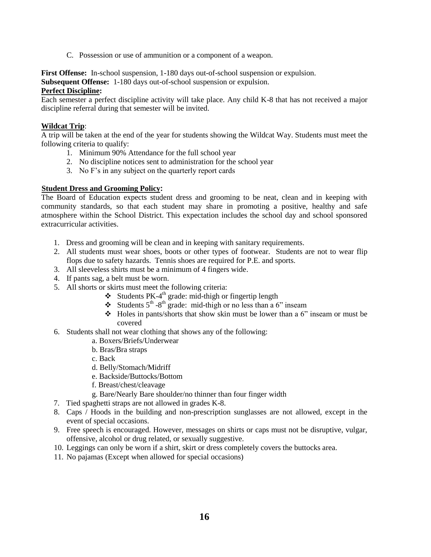C. Possession or use of ammunition or a component of a weapon.

**First Offense:** In-school suspension, 1-180 days out-of-school suspension or expulsion.

**Subsequent Offense:** 1-180 days out-of-school suspension or expulsion.

#### **Perfect Discipline:**

Each semester a perfect discipline activity will take place. Any child K-8 that has not received a major discipline referral during that semester will be invited.

#### **Wildcat Trip**:

A trip will be taken at the end of the year for students showing the Wildcat Way. Students must meet the following criteria to qualify:

- 1. Minimum 90% Attendance for the full school year
- 2. No discipline notices sent to administration for the school year
- 3. No F's in any subject on the quarterly report cards

#### **Student Dress and Grooming Policy:**

The Board of Education expects student dress and grooming to be neat, clean and in keeping with community standards, so that each student may share in promoting a positive, healthy and safe atmosphere within the School District. This expectation includes the school day and school sponsored extracurricular activities.

- 1. Dress and grooming will be clean and in keeping with sanitary requirements.
- 2. All students must wear shoes, boots or other types of footwear. Students are not to wear flip flops due to safety hazards. Tennis shoes are required for P.E. and sports.
- 3. All sleeveless shirts must be a minimum of 4 fingers wide.
- 4. If pants sag, a belt must be worn.
- 5. All shorts or skirts must meet the following criteria:
	- Students PK-4 th grade: mid-thigh or fingertip length
	- $\bullet$  Students 5<sup>th</sup> -8<sup>th</sup> grade: mid-thigh or no less than a 6" inseam
	- $\triangleleft$  Holes in pants/shorts that show skin must be lower than a 6" inseam or must be covered
- 6. Students shall not wear clothing that shows any of the following:
	- a. Boxers/Briefs/Underwear
	- b. Bras/Bra straps
	- c. Back
	- d. Belly/Stomach/Midriff
	- e. Backside/Buttocks/Bottom
	- f. Breast/chest/cleavage
	- g. Bare/Nearly Bare shoulder/no thinner than four finger width
- 7. Tied spaghetti straps are not allowed in grades K-8.
- 8. Caps / Hoods in the building and non-prescription sunglasses are not allowed, except in the event of special occasions.
- 9. Free speech is encouraged. However, messages on shirts or caps must not be disruptive, vulgar, offensive, alcohol or drug related, or sexually suggestive.
- 10. Leggings can only be worn if a shirt, skirt or dress completely covers the buttocks area.
- 11. No pajamas (Except when allowed for special occasions)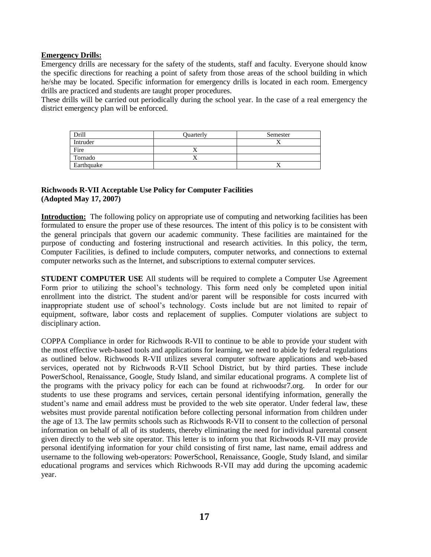#### **Emergency Drills:**

Emergency drills are necessary for the safety of the students, staff and faculty. Everyone should know the specific directions for reaching a point of safety from those areas of the school building in which he/she may be located. Specific information for emergency drills is located in each room. Emergency drills are practiced and students are taught proper procedures.

These drills will be carried out periodically during the school year. In the case of a real emergency the district emergency plan will be enforced.

| Drill      | <b>Ouarterly</b> | Semester |
|------------|------------------|----------|
| Intruder   |                  |          |
| Fire       |                  |          |
| Tornado    |                  |          |
| Earthquake |                  |          |

#### **Richwoods R-VII Acceptable Use Policy for Computer Facilities (Adopted May 17, 2007)**

**Introduction:** The following policy on appropriate use of computing and networking facilities has been formulated to ensure the proper use of these resources. The intent of this policy is to be consistent with the general principals that govern our academic community. These facilities are maintained for the purpose of conducting and fostering instructional and research activities. In this policy, the term, Computer Facilities, is defined to include computers, computer networks, and connections to external computer networks such as the Internet, and subscriptions to external computer services.

**STUDENT COMPUTER USE** All students will be required to complete a Computer Use Agreement Form prior to utilizing the school's technology. This form need only be completed upon initial enrollment into the district. The student and/or parent will be responsible for costs incurred with inappropriate student use of school's technology. Costs include but are not limited to repair of equipment, software, labor costs and replacement of supplies. Computer violations are subject to disciplinary action.

COPPA Compliance in order for Richwoods R-VII to continue to be able to provide your student with the most effective web-based tools and applications for learning, we need to abide by federal regulations as outlined below. Richwoods R-VII utilizes several computer software applications and web-based services, operated not by Richwoods R-VII School District, but by third parties. These include PowerSchool, Renaissance, Google, Study Island, and similar educational programs. A complete list of the programs with the privacy policy for each can be found at richwoodsr7.org. In order for our students to use these programs and services, certain personal identifying information, generally the student's name and email address must be provided to the web site operator. Under federal law, these websites must provide parental notification before collecting personal information from children under the age of 13. The law permits schools such as Richwoods R-VII to consent to the collection of personal information on behalf of all of its students, thereby eliminating the need for individual parental consent given directly to the web site operator. This letter is to inform you that Richwoods R-VII may provide personal identifying information for your child consisting of first name, last name, email address and username to the following web-operators: PowerSchool, Renaissance, Google, Study Island, and similar educational programs and services which Richwoods R-VII may add during the upcoming academic year.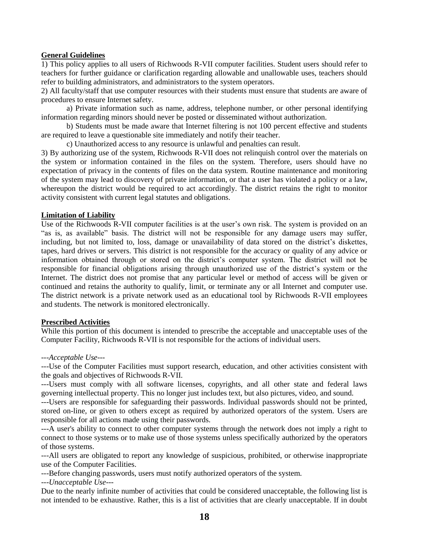#### **General Guidelines**

1) This policy applies to all users of Richwoods R-VII computer facilities. Student users should refer to teachers for further guidance or clarification regarding allowable and unallowable uses, teachers should refer to building administrators, and administrators to the system operators.

2) All faculty/staff that use computer resources with their students must ensure that students are aware of procedures to ensure Internet safety.

a) Private information such as name, address, telephone number, or other personal identifying information regarding minors should never be posted or disseminated without authorization.

b) Students must be made aware that Internet filtering is not 100 percent effective and students are required to leave a questionable site immediately and notify their teacher.

c) Unauthorized access to any resource is unlawful and penalties can result.

3) By authorizing use of the system, Richwoods R-VII does not relinquish control over the materials on the system or information contained in the files on the system. Therefore, users should have no expectation of privacy in the contents of files on the data system. Routine maintenance and monitoring of the system may lead to discovery of private information, or that a user has violated a policy or a law, whereupon the district would be required to act accordingly. The district retains the right to monitor activity consistent with current legal statutes and obligations.

#### **Limitation of Liability**

Use of the Richwoods R-VII computer facilities is at the user's own risk. The system is provided on an "as is, as available" basis. The district will not be responsible for any damage users may suffer, including, but not limited to, loss, damage or unavailability of data stored on the district's diskettes, tapes, hard drives or servers. This district is not responsible for the accuracy or quality of any advice or information obtained through or stored on the district's computer system. The district will not be responsible for financial obligations arising through unauthorized use of the district's system or the Internet. The district does not promise that any particular level or method of access will be given or continued and retains the authority to qualify, limit, or terminate any or all Internet and computer use. The district network is a private network used as an educational tool by Richwoods R-VII employees and students. The network is monitored electronically.

#### **Prescribed Activities**

While this portion of this document is intended to prescribe the acceptable and unacceptable uses of the Computer Facility, Richwoods R-VII is not responsible for the actions of individual users.

---*Acceptable Use*---

---Use of the Computer Facilities must support research, education, and other activities consistent with the goals and objectives of Richwoods R-VII.

---Users must comply with all software licenses, copyrights, and all other state and federal laws governing intellectual property. This no longer just includes text, but also pictures, video, and sound.

---Users are responsible for safeguarding their passwords. Individual passwords should not be printed, stored on-line, or given to others except as required by authorized operators of the system. Users are responsible for all actions made using their passwords.

---A user's ability to connect to other computer systems through the network does not imply a right to connect to those systems or to make use of those systems unless specifically authorized by the operators of those systems.

---All users are obligated to report any knowledge of suspicious, prohibited, or otherwise inappropriate use of the Computer Facilities.

---Before changing passwords, users must notify authorized operators of the system.

---*Unacceptable Use*---

Due to the nearly infinite number of activities that could be considered unacceptable, the following list is not intended to be exhaustive. Rather, this is a list of activities that are clearly unacceptable. If in doubt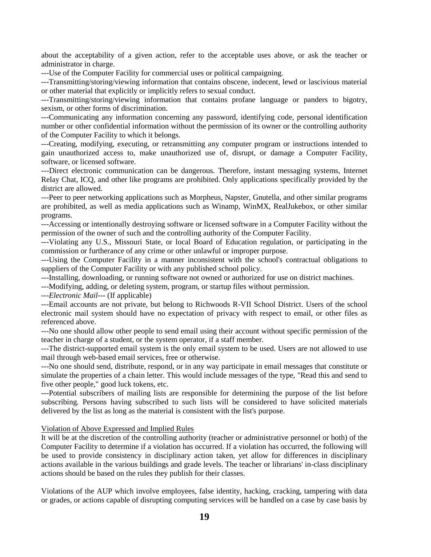about the acceptability of a given action, refer to the acceptable uses above, or ask the teacher or administrator in charge.

---Use of the Computer Facility for commercial uses or political campaigning.

---Transmitting/storing/viewing information that contains obscene, indecent, lewd or lascivious material or other material that explicitly or implicitly refers to sexual conduct.

---Transmitting/storing/viewing information that contains profane language or panders to bigotry, sexism, or other forms of discrimination.

---Communicating any information concerning any password, identifying code, personal identification number or other confidential information without the permission of its owner or the controlling authority of the Computer Facility to which it belongs.

---Creating, modifying, executing, or retransmitting any computer program or instructions intended to gain unauthorized access to, make unauthorized use of, disrupt, or damage a Computer Facility, software, or licensed software.

*---*Direct electronic communication can be dangerous. Therefore, instant messaging systems, Internet Relay Chat, ICQ, and other like programs are prohibited. Only applications specifically provided by the district are allowed.

---Peer to peer networking applications such as Morpheus, Napster, Gnutella, and other similar programs are prohibited, as well as media applications such as Winamp, WinMX, RealJukebox, or other similar programs.

---Accessing or intentionally destroying software or licensed software in a Computer Facility without the permission of the owner of such and the controlling authority of the Computer Facility.

---Violating any U.S., Missouri State, or local Board of Education regulation, or participating in the commission or furtherance of any crime or other unlawful or improper purpose.

---Using the Computer Facility in a manner inconsistent with the school's contractual obligations to suppliers of the Computer Facility or with any published school policy.

---Installing, downloading, or running software not owned or authorized for use on district machines.

---Modifying, adding, or deleting system, program, or startup files without permission.

---*Electronic Mail*--- (If applicable)

---Email accounts are not private, but belong to Richwoods R-VII School District. Users of the school electronic mail system should have no expectation of privacy with respect to email, or other files as referenced above.

---No one should allow other people to send email using their account without specific permission of the teacher in charge of a student, or the system operator, if a staff member*.*

---The district-supported email system is the only email system to be used. Users are not allowed to use mail through web-based email services, free or otherwise*.*

---No one should send, distribute, respond, or in any way participate in email messages that constitute or simulate the properties of a chain letter. This would include messages of the type, "Read this and send to five other people," good luck tokens, etc.

---Potential subscribers of mailing lists are responsible for determining the purpose of the list before subscribing. Persons having subscribed to such lists will be considered to have solicited materials delivered by the list as long as the material is consistent with the list's purpose.

#### Violation of Above Expressed and Implied Rules

It will be at the discretion of the controlling authority (teacher or administrative personnel or both) of the Computer Facility to determine if a violation has occurred. If a violation has occurred, the following will be used to provide consistency in disciplinary action taken, yet allow for differences in disciplinary actions available in the various buildings and grade levels. The teacher or librarians' in-class disciplinary actions should be based on the rules they publish for their classes.

Violations of the AUP which involve employees, false identity, hacking, cracking, tampering with data or grades, or actions capable of disrupting computing services will be handled on a case by case basis by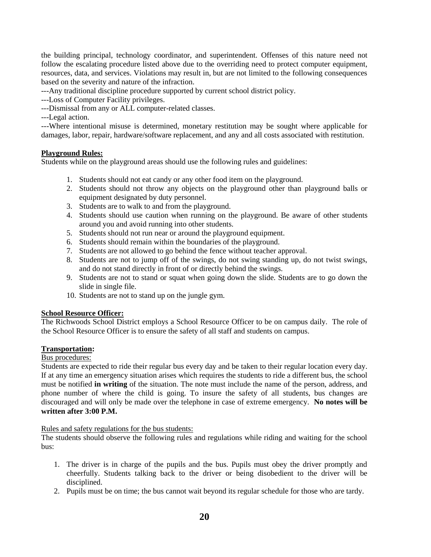the building principal, technology coordinator, and superintendent. Offenses of this nature need not follow the escalating procedure listed above due to the overriding need to protect computer equipment, resources, data, and services. Violations may result in, but are not limited to the following consequences based on the severity and nature of the infraction.

---Any traditional discipline procedure supported by current school district policy.

---Loss of Computer Facility privileges.

---Dismissal from any or ALL computer-related classes.

---Legal action.

*---*Where intentional misuse is determined, monetary restitution may be sought where applicable for damages, labor, repair, hardware/software replacement, and any and all costs associated with restitution.

#### **Playground Rules:**

Students while on the playground areas should use the following rules and guidelines:

- 1. Students should not eat candy or any other food item on the playground.
- 2. Students should not throw any objects on the playground other than playground balls or equipment designated by duty personnel.
- 3. Students are to walk to and from the playground.
- 4. Students should use caution when running on the playground. Be aware of other students around you and avoid running into other students.
- 5. Students should not run near or around the playground equipment.
- 6. Students should remain within the boundaries of the playground.
- 7. Students are not allowed to go behind the fence without teacher approval.
- 8. Students are not to jump off of the swings, do not swing standing up, do not twist swings, and do not stand directly in front of or directly behind the swings.
- 9. Students are not to stand or squat when going down the slide. Students are to go down the slide in single file.
- 10. Students are not to stand up on the jungle gym.

### **School Resource Officer:**

The Richwoods School District employs a School Resource Officer to be on campus daily. The role of the School Resource Officer is to ensure the safety of all staff and students on campus.

#### **Transportation:**

#### Bus procedures:

Students are expected to ride their regular bus every day and be taken to their regular location every day. If at any time an emergency situation arises which requires the students to ride a different bus, the school must be notified **in writing** of the situation. The note must include the name of the person, address, and phone number of where the child is going. To insure the safety of all students, bus changes are discouraged and will only be made over the telephone in case of extreme emergency. **No notes will be written after 3:00 P.M.**

#### Rules and safety regulations for the bus students:

The students should observe the following rules and regulations while riding and waiting for the school bus:

- 1. The driver is in charge of the pupils and the bus. Pupils must obey the driver promptly and cheerfully. Students talking back to the driver or being disobedient to the driver will be disciplined.
- 2. Pupils must be on time; the bus cannot wait beyond its regular schedule for those who are tardy.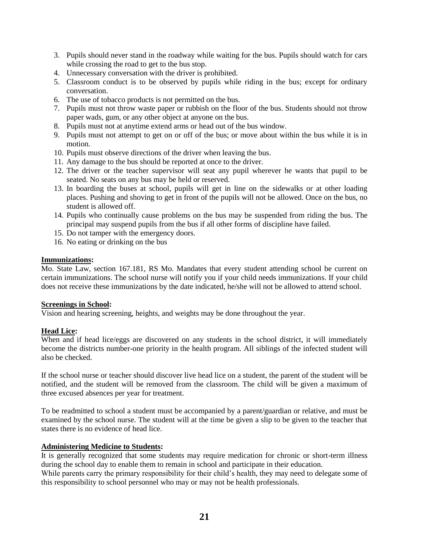- 3. Pupils should never stand in the roadway while waiting for the bus. Pupils should watch for cars while crossing the road to get to the bus stop.
- 4. Unnecessary conversation with the driver is prohibited.
- 5. Classroom conduct is to be observed by pupils while riding in the bus; except for ordinary conversation.
- 6. The use of tobacco products is not permitted on the bus.
- 7. Pupils must not throw waste paper or rubbish on the floor of the bus. Students should not throw paper wads, gum, or any other object at anyone on the bus.
- 8. Pupils must not at anytime extend arms or head out of the bus window.
- 9. Pupils must not attempt to get on or off of the bus; or move about within the bus while it is in motion.
- 10. Pupils must observe directions of the driver when leaving the bus.
- 11. Any damage to the bus should be reported at once to the driver.
- 12. The driver or the teacher supervisor will seat any pupil wherever he wants that pupil to be seated. No seats on any bus may be held or reserved.
- 13. In boarding the buses at school, pupils will get in line on the sidewalks or at other loading places. Pushing and shoving to get in front of the pupils will not be allowed. Once on the bus, no student is allowed off.
- 14. Pupils who continually cause problems on the bus may be suspended from riding the bus. The principal may suspend pupils from the bus if all other forms of discipline have failed.
- 15. Do not tamper with the emergency doors.
- 16. No eating or drinking on the bus

#### **Immunizations:**

Mo. State Law, section 167.181, RS Mo. Mandates that every student attending school be current on certain immunizations. The school nurse will notify you if your child needs immunizations. If your child does not receive these immunizations by the date indicated, he/she will not be allowed to attend school.

#### **Screenings in School:**

Vision and hearing screening, heights, and weights may be done throughout the year.

#### **Head Lice:**

When and if head lice/eggs are discovered on any students in the school district, it will immediately become the districts number-one priority in the health program. All siblings of the infected student will also be checked.

If the school nurse or teacher should discover live head lice on a student, the parent of the student will be notified, and the student will be removed from the classroom. The child will be given a maximum of three excused absences per year for treatment.

To be readmitted to school a student must be accompanied by a parent/guardian or relative, and must be examined by the school nurse. The student will at the time be given a slip to be given to the teacher that states there is no evidence of head lice.

#### **Administering Medicine to Students:**

It is generally recognized that some students may require medication for chronic or short-term illness during the school day to enable them to remain in school and participate in their education.

While parents carry the primary responsibility for their child's health, they may need to delegate some of this responsibility to school personnel who may or may not be health professionals.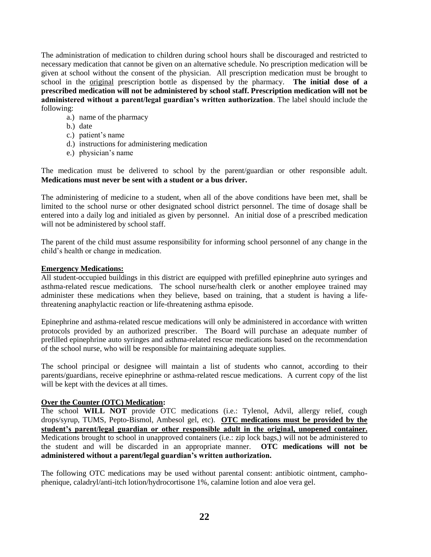The administration of medication to children during school hours shall be discouraged and restricted to necessary medication that cannot be given on an alternative schedule. No prescription medication will be given at school without the consent of the physician. All prescription medication must be brought to school in the original prescription bottle as dispensed by the pharmacy. **The initial dose of a prescribed medication will not be administered by school staff. Prescription medication will not be administered without a parent/legal guardian's written authorization**. The label should include the following:

- a.) name of the pharmacy
- b.) date
- c.) patient's name
- d.) instructions for administering medication
- e.) physician's name

The medication must be delivered to school by the parent/guardian or other responsible adult. **Medications must never be sent with a student or a bus driver.**

The administering of medicine to a student, when all of the above conditions have been met, shall be limited to the school nurse or other designated school district personnel. The time of dosage shall be entered into a daily log and initialed as given by personnel. An initial dose of a prescribed medication will not be administered by school staff.

The parent of the child must assume responsibility for informing school personnel of any change in the child's health or change in medication.

#### **Emergency Medications:**

All student-occupied buildings in this district are equipped with prefilled epinephrine auto syringes and asthma-related rescue medications. The school nurse/health clerk or another employee trained may administer these medications when they believe, based on training, that a student is having a lifethreatening anaphylactic reaction or life-threatening asthma episode.

Epinephrine and asthma-related rescue medications will only be administered in accordance with written protocols provided by an authorized prescriber. The Board will purchase an adequate number of prefilled epinephrine auto syringes and asthma-related rescue medications based on the recommendation of the school nurse, who will be responsible for maintaining adequate supplies.

The school principal or designee will maintain a list of students who cannot, according to their parents/guardians, receive epinephrine or asthma-related rescue medications. A current copy of the list will be kept with the devices at all times.

#### **Over the Counter (OTC) Medication:**

The school **WILL NOT** provide OTC medications (i.e.: Tylenol, Advil, allergy relief, cough drops/syrup, TUMS, Pepto-Bismol, Ambesol gel, etc). **OTC medications must be provided by the student's parent/legal guardian or other responsible adult in the original, unopened container.**  Medications brought to school in unapproved containers (i.e.: zip lock bags,) will not be administered to the student and will be discarded in an appropriate manner. **OTC medications will not be administered without a parent/legal guardian's written authorization.**

The following OTC medications may be used without parental consent: antibiotic ointment, camphophenique, caladryl/anti-itch lotion/hydrocortisone 1%, calamine lotion and aloe vera gel.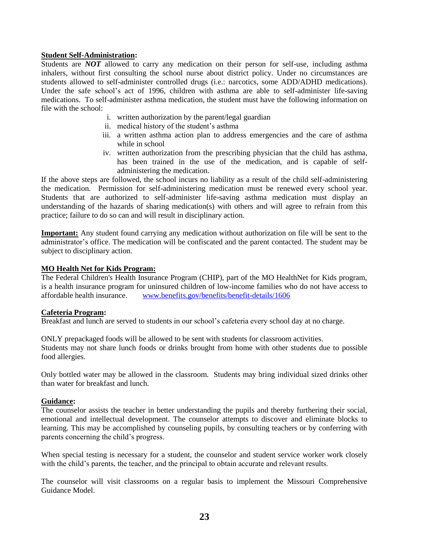#### **Student Self-Administration:**

Students are *NOT* allowed to carry any medication on their person for self-use, including asthma inhalers, without first consulting the school nurse about district policy. Under no circumstances are students allowed to self-administer controlled drugs (i.e.: narcotics, some ADD/ADHD medications). Under the safe school's act of 1996, children with asthma are able to self-administer life-saving medications. To self-administer asthma medication, the student must have the following information on file with the school:

- i. written authorization by the parent/legal guardian
- ii. medical history of the student's asthma
- iii. a written asthma action plan to address emergencies and the care of asthma while in school
- iv. written authorization from the prescribing physician that the child has asthma, has been trained in the use of the medication, and is capable of selfadministering the medication.

If the above steps are followed, the school incurs no liability as a result of the child self-administering the medication. Permission for self-administering medication must be renewed every school year. Students that are authorized to self-administer life-saving asthma medication must display an understanding of the hazards of sharing medication(s) with others and will agree to refrain from this practice; failure to do so can and will result in disciplinary action.

**Important:** Any student found carrying any medication without authorization on file will be sent to the administrator's office. The medication will be confiscated and the parent contacted. The student may be subject to disciplinary action.

#### **MO Health Net for Kids Program:**

The Federal Children's Health Insurance Program (CHIP), part of the MO HealthNet for Kids program, is a health insurance program for uninsured children of low-income families who do not have access to affordable health insurance. [www.benefits.gov/benefits/benefit-details/1606](http://www.benefits.gov/benefits/benefit-details/1606)

#### **Cafeteria Program:**

Breakfast and lunch are served to students in our school's cafeteria every school day at no charge.

ONLY prepackaged foods will be allowed to be sent with students for classroom activities. Students may not share lunch foods or drinks brought from home with other students due to possible food allergies.

Only bottled water may be allowed in the classroom. Students may bring individual sized drinks other than water for breakfast and lunch.

#### **Guidance:**

The counselor assists the teacher in better understanding the pupils and thereby furthering their social, emotional and intellectual development. The counselor attempts to discover and eliminate blocks to learning. This may be accomplished by counseling pupils, by consulting teachers or by conferring with parents concerning the child's progress.

When special testing is necessary for a student, the counselor and student service worker work closely with the child's parents, the teacher, and the principal to obtain accurate and relevant results.

The counselor will visit classrooms on a regular basis to implement the Missouri Comprehensive Guidance Model.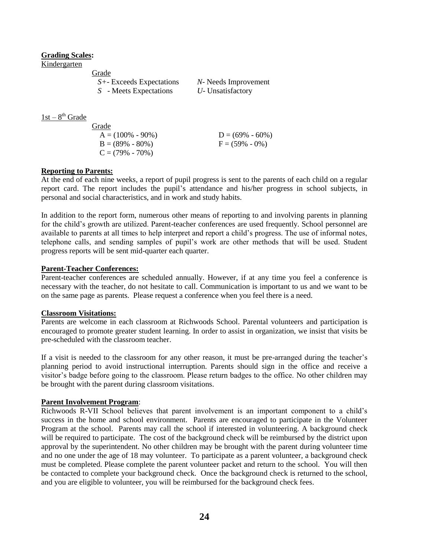#### **Grading Scales:**

Kindergarten

| Grade                      |                      |
|----------------------------|----------------------|
| $S$ + Exceeds Expectations | N- Needs Improvement |
| S - Meets Expectations     | U- Unsatisfactory    |

| - 1.ST | Ō. | Grade |  |
|--------|----|-------|--|
|        |    |       |  |

| Grade                |                     |
|----------------------|---------------------|
| $A = (100\% - 90\%)$ | $D = (69\% - 60\%)$ |
| $B = (89\% - 80\%)$  | $F = (59\% - 0\%)$  |
| $C = (79\% - 70\%)$  |                     |

#### **Reporting to Parents:**

At the end of each nine weeks, a report of pupil progress is sent to the parents of each child on a regular report card. The report includes the pupil's attendance and his/her progress in school subjects, in personal and social characteristics, and in work and study habits.

In addition to the report form, numerous other means of reporting to and involving parents in planning for the child's growth are utilized. Parent-teacher conferences are used frequently. School personnel are available to parents at all times to help interpret and report a child's progress. The use of informal notes, telephone calls, and sending samples of pupil's work are other methods that will be used. Student progress reports will be sent mid-quarter each quarter.

#### **Parent-Teacher Conferences:**

Parent-teacher conferences are scheduled annually. However, if at any time you feel a conference is necessary with the teacher, do not hesitate to call. Communication is important to us and we want to be on the same page as parents. Please request a conference when you feel there is a need.

#### **Classroom Visitations:**

Parents are welcome in each classroom at Richwoods School. Parental volunteers and participation is encouraged to promote greater student learning. In order to assist in organization, we insist that visits be pre-scheduled with the classroom teacher.

If a visit is needed to the classroom for any other reason, it must be pre-arranged during the teacher's planning period to avoid instructional interruption. Parents should sign in the office and receive a visitor's badge before going to the classroom. Please return badges to the office. No other children may be brought with the parent during classroom visitations.

#### **Parent Involvement Program**:

Richwoods R-VII School believes that parent involvement is an important component to a child's success in the home and school environment. Parents are encouraged to participate in the Volunteer Program at the school. Parents may call the school if interested in volunteering. A background check will be required to participate. The cost of the background check will be reimbursed by the district upon approval by the superintendent. No other children may be brought with the parent during volunteer time and no one under the age of 18 may volunteer. To participate as a parent volunteer, a background check must be completed. Please complete the parent volunteer packet and return to the school. You will then be contacted to complete your background check. Once the background check is returned to the school, and you are eligible to volunteer, you will be reimbursed for the background check fees.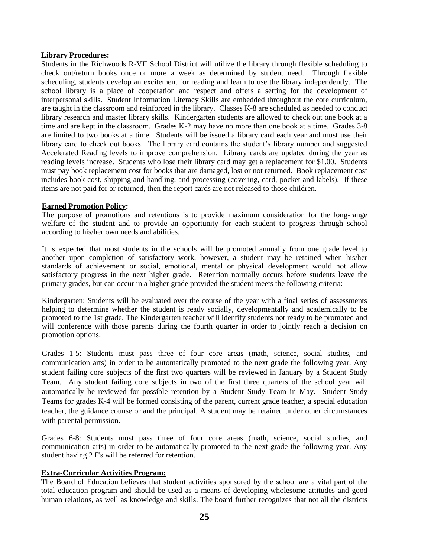#### **Library Procedures:**

Students in the Richwoods R-VII School District will utilize the library through flexible scheduling to check out/return books once or more a week as determined by student need. Through flexible scheduling, students develop an excitement for reading and learn to use the library independently. The school library is a place of cooperation and respect and offers a setting for the development of interpersonal skills. Student Information Literacy Skills are embedded throughout the core curriculum, are taught in the classroom and reinforced in the library. Classes K-8 are scheduled as needed to conduct library research and master library skills. Kindergarten students are allowed to check out one book at a time and are kept in the classroom. Grades K-2 may have no more than one book at a time. Grades 3-8 are limited to two books at a time. Students will be issued a library card each year and must use their library card to check out books. The library card contains the student's library number and suggested Accelerated Reading levels to improve comprehension. Library cards are updated during the year as reading levels increase. Students who lose their library card may get a replacement for \$1.00. Students must pay book replacement cost for books that are damaged, lost or not returned. Book replacement cost includes book cost, shipping and handling, and processing (covering, card, pocket and labels). If these items are not paid for or returned, then the report cards are not released to those children.

#### **Earned Promotion Policy:**

The purpose of promotions and retentions is to provide maximum consideration for the long-range welfare of the student and to provide an opportunity for each student to progress through school according to his/her own needs and abilities.

It is expected that most students in the schools will be promoted annually from one grade level to another upon completion of satisfactory work, however, a student may be retained when his/her standards of achievement or social, emotional, mental or physical development would not allow satisfactory progress in the next higher grade. Retention normally occurs before students leave the primary grades, but can occur in a higher grade provided the student meets the following criteria:

Kindergarten: Students will be evaluated over the course of the year with a final series of assessments helping to determine whether the student is ready socially, developmentally and academically to be promoted to the 1st grade. The Kindergarten teacher will identify students not ready to be promoted and will conference with those parents during the fourth quarter in order to jointly reach a decision on promotion options.

Grades 1-5: Students must pass three of four core areas (math, science, social studies, and communication arts) in order to be automatically promoted to the next grade the following year. Any student failing core subjects of the first two quarters will be reviewed in January by a Student Study Team. Any student failing core subjects in two of the first three quarters of the school year will automatically be reviewed for possible retention by a Student Study Team in May. Student Study Teams for grades K-4 will be formed consisting of the parent, current grade teacher, a special education teacher, the guidance counselor and the principal. A student may be retained under other circumstances with parental permission.

Grades 6-8: Students must pass three of four core areas (math, science, social studies, and communication arts) in order to be automatically promoted to the next grade the following year. Any student having 2 F's will be referred for retention.

#### **Extra-Curricular Activities Program:**

The Board of Education believes that student activities sponsored by the school are a vital part of the total education program and should be used as a means of developing wholesome attitudes and good human relations, as well as knowledge and skills. The board further recognizes that not all the districts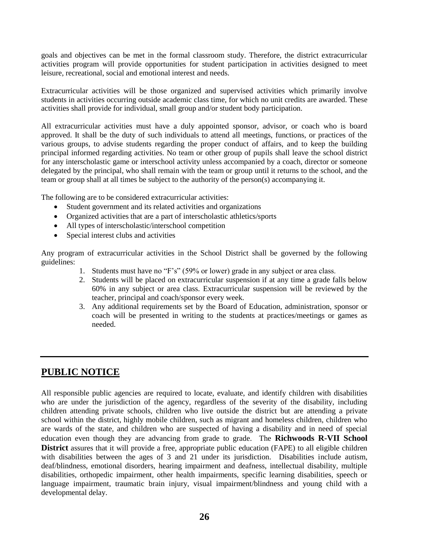goals and objectives can be met in the formal classroom study. Therefore, the district extracurricular activities program will provide opportunities for student participation in activities designed to meet leisure, recreational, social and emotional interest and needs.

Extracurricular activities will be those organized and supervised activities which primarily involve students in activities occurring outside academic class time, for which no unit credits are awarded. These activities shall provide for individual, small group and/or student body participation.

All extracurricular activities must have a duly appointed sponsor, advisor, or coach who is board approved. It shall be the duty of such individuals to attend all meetings, functions, or practices of the various groups, to advise students regarding the proper conduct of affairs, and to keep the building principal informed regarding activities. No team or other group of pupils shall leave the school district for any interscholastic game or interschool activity unless accompanied by a coach, director or someone delegated by the principal, who shall remain with the team or group until it returns to the school, and the team or group shall at all times be subject to the authority of the person(s) accompanying it.

The following are to be considered extracurricular activities:

- Student government and its related activities and organizations
- Organized activities that are a part of interscholastic athletics/sports
- All types of interscholastic/interschool competition
- Special interest clubs and activities

Any program of extracurricular activities in the School District shall be governed by the following guidelines:

- 1. Students must have no "F's" (59% or lower) grade in any subject or area class.
- 2. Students will be placed on extracurricular suspension if at any time a grade falls below 60% in any subject or area class. Extracurricular suspension will be reviewed by the teacher, principal and coach/sponsor every week.
- 3. Any additional requirements set by the Board of Education, administration, sponsor or coach will be presented in writing to the students at practices/meetings or games as needed.

# **PUBLIC NOTICE**

All responsible public agencies are required to locate, evaluate, and identify children with disabilities who are under the jurisdiction of the agency, regardless of the severity of the disability, including children attending private schools, children who live outside the district but are attending a private school within the district, highly mobile children, such as migrant and homeless children, children who are wards of the state, and children who are suspected of having a disability and in need of special education even though they are advancing from grade to grade. The **Richwoods R-VII School District** assures that it will provide a free, appropriate public education (FAPE) to all eligible children with disabilities between the ages of 3 and 21 under its jurisdiction. Disabilities include autism, deaf/blindness, emotional disorders, hearing impairment and deafness, intellectual disability, multiple disabilities, orthopedic impairment, other health impairments, specific learning disabilities, speech or language impairment, traumatic brain injury, visual impairment/blindness and young child with a developmental delay.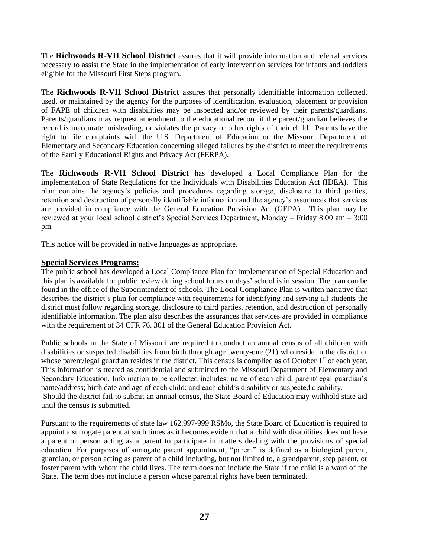The **Richwoods R-VII School District** assures that it will provide information and referral services necessary to assist the State in the implementation of early intervention services for infants and toddlers eligible for the Missouri First Steps program.

The **Richwoods R-VII School District** assures that personally identifiable information collected, used, or maintained by the agency for the purposes of identification, evaluation, placement or provision of FAPE of children with disabilities may be inspected and/or reviewed by their parents/guardians. Parents/guardians may request amendment to the educational record if the parent/guardian believes the record is inaccurate, misleading, or violates the privacy or other rights of their child. Parents have the right to file complaints with the U.S. Department of Education or the Missouri Department of Elementary and Secondary Education concerning alleged failures by the district to meet the requirements of the Family Educational Rights and Privacy Act (FERPA).

The **Richwoods R-VII School District** has developed a Local Compliance Plan for the implementation of State Regulations for the Individuals with Disabilities Education Act (IDEA). This plan contains the agency's policies and procedures regarding storage, disclosure to third parties, retention and destruction of personally identifiable information and the agency's assurances that services are provided in compliance with the General Education Provision Act (GEPA). This plan may be reviewed at your local school district's Special Services Department, Monday – Friday 8:00 am – 3:00 pm.

This notice will be provided in native languages as appropriate.

#### **Special Services Programs:**

The public school has developed a Local Compliance Plan for Implementation of Special Education and this plan is available for public review during school hours on days' school is in session. The plan can be found in the office of the Superintendent of schools. The Local Compliance Plan is written narrative that describes the district's plan for compliance with requirements for identifying and serving all students the district must follow regarding storage, disclosure to third parties, retention, and destruction of personally identifiable information. The plan also describes the assurances that services are provided in compliance with the requirement of 34 CFR 76. 301 of the General Education Provision Act.

Public schools in the State of Missouri are required to conduct an annual census of all children with disabilities or suspected disabilities from birth through age twenty-one (21) who reside in the district or whose parent/legal guardian resides in the district. This census is complied as of October  $1<sup>st</sup>$  of each year. This information is treated as confidential and submitted to the Missouri Department of Elementary and Secondary Education. Information to be collected includes: name of each child, parent/legal guardian's name/address; birth date and age of each child; and each child's disability or suspected disability. Should the district fail to submit an annual census, the State Board of Education may withhold state aid until the census is submitted.

Pursuant to the requirements of state law 162.997-999 RSMo, the State Board of Education is required to appoint a surrogate parent at such times as it becomes evident that a child with disabilities does not have a parent or person acting as a parent to participate in matters dealing with the provisions of special education. For purposes of surrogate parent appointment, "parent" is defined as a biological parent, guardian, or person acting as parent of a child including, but not limited to, a grandparent, step parent, or foster parent with whom the child lives. The term does not include the State if the child is a ward of the State. The term does not include a person whose parental rights have been terminated.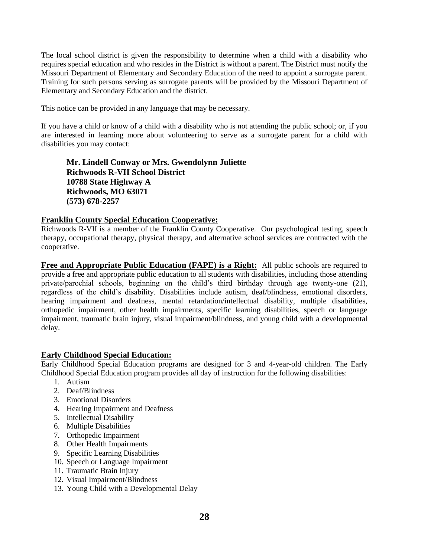The local school district is given the responsibility to determine when a child with a disability who requires special education and who resides in the District is without a parent. The District must notify the Missouri Department of Elementary and Secondary Education of the need to appoint a surrogate parent. Training for such persons serving as surrogate parents will be provided by the Missouri Department of Elementary and Secondary Education and the district.

This notice can be provided in any language that may be necessary.

If you have a child or know of a child with a disability who is not attending the public school; or, if you are interested in learning more about volunteering to serve as a surrogate parent for a child with disabilities you may contact:

**Mr. Lindell Conway or Mrs. Gwendolynn Juliette Richwoods R-VII School District 10788 State Highway A Richwoods, MO 63071 (573) 678-2257**

### **Franklin County Special Education Cooperative:**

Richwoods R-VII is a member of the Franklin County Cooperative. Our psychological testing, speech therapy, occupational therapy, physical therapy, and alternative school services are contracted with the cooperative.

**Free and Appropriate Public Education (FAPE) is a Right:** All public schools are required to provide a free and appropriate public education to all students with disabilities, including those attending private/parochial schools, beginning on the child's third birthday through age twenty-one (21), regardless of the child's disability. Disabilities include autism, deaf/blindness, emotional disorders, hearing impairment and deafness, mental retardation/intellectual disability, multiple disabilities, orthopedic impairment, other health impairments, specific learning disabilities, speech or language impairment, traumatic brain injury, visual impairment/blindness, and young child with a developmental delay.

### **Early Childhood Special Education:**

Early Childhood Special Education programs are designed for 3 and 4-year-old children. The Early Childhood Special Education program provides all day of instruction for the following disabilities:

- 1. Autism
- 2. Deaf/Blindness
- 3. Emotional Disorders
- 4. Hearing Impairment and Deafness
- 5. Intellectual Disability
- 6. Multiple Disabilities
- 7. Orthopedic Impairment
- 8. Other Health Impairments
- 9. Specific Learning Disabilities
- 10. Speech or Language Impairment
- 11. Traumatic Brain Injury
- 12. Visual Impairment/Blindness
- 13. Young Child with a Developmental Delay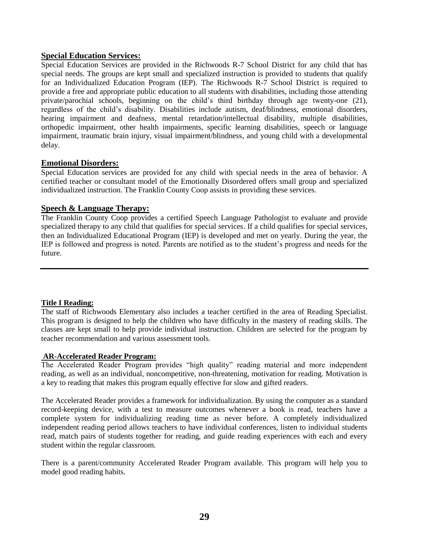#### **Special Education Services:**

Special Education Services are provided in the Richwoods R-7 School District for any child that has special needs. The groups are kept small and specialized instruction is provided to students that qualify for an Individualized Education Program (IEP). The Richwoods R-7 School District is required to provide a free and appropriate public education to all students with disabilities, including those attending private/parochial schools, beginning on the child's third birthday through age twenty-one (21), regardless of the child's disability. Disabilities include autism, deaf/blindness, emotional disorders, hearing impairment and deafness, mental retardation/intellectual disability, multiple disabilities, orthopedic impairment, other health impairments, specific learning disabilities, speech or language impairment, traumatic brain injury, visual impairment/blindness, and young child with a developmental delay.

#### **Emotional Disorders:**

Special Education services are provided for any child with special needs in the area of behavior. A certified teacher or consultant model of the Emotionally Disordered offers small group and specialized individualized instruction. The Franklin County Coop assists in providing these services.

#### **Speech & Language Therapy:**

The Franklin County Coop provides a certified Speech Language Pathologist to evaluate and provide specialized therapy to any child that qualifies for special services. If a child qualifies for special services, then an Individualized Educational Program (IEP) is developed and met on yearly. During the year, the IEP is followed and progress is noted. Parents are notified as to the student's progress and needs for the future.

#### **Title I Reading:**

The staff of Richwoods Elementary also includes a teacher certified in the area of Reading Specialist. This program is designed to help the children who have difficulty in the mastery of reading skills. The classes are kept small to help provide individual instruction. Children are selected for the program by teacher recommendation and various assessment tools.

#### **AR-Accelerated Reader Program:**

The Accelerated Reader Program provides "high quality" reading material and more independent reading, as well as an individual, noncompetitive, non-threatening, motivation for reading. Motivation is a key to reading that makes this program equally effective for slow and gifted readers.

The Accelerated Reader provides a framework for individualization. By using the computer as a standard record-keeping device, with a test to measure outcomes whenever a book is read, teachers have a complete system for individualizing reading time as never before. A completely individualized independent reading period allows teachers to have individual conferences, listen to individual students read, match pairs of students together for reading, and guide reading experiences with each and every student within the regular classroom.

There is a parent/community Accelerated Reader Program available. This program will help you to model good reading habits.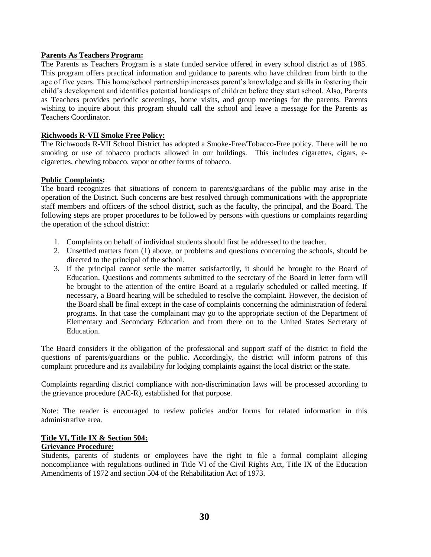#### **Parents As Teachers Program:**

The Parents as Teachers Program is a state funded service offered in every school district as of 1985. This program offers practical information and guidance to parents who have children from birth to the age of five years. This home/school partnership increases parent's knowledge and skills in fostering their child's development and identifies potential handicaps of children before they start school. Also, Parents as Teachers provides periodic screenings, home visits, and group meetings for the parents. Parents wishing to inquire about this program should call the school and leave a message for the Parents as Teachers Coordinator.

#### **Richwoods R-VII Smoke Free Policy:**

The Richwoods R-VII School District has adopted a Smoke-Free/Tobacco-Free policy. There will be no smoking or use of tobacco products allowed in our buildings. This includes cigarettes, cigars, ecigarettes, chewing tobacco, vapor or other forms of tobacco.

#### **Public Complaints:**

The board recognizes that situations of concern to parents/guardians of the public may arise in the operation of the District. Such concerns are best resolved through communications with the appropriate staff members and officers of the school district, such as the faculty, the principal, and the Board. The following steps are proper procedures to be followed by persons with questions or complaints regarding the operation of the school district:

- 1. Complaints on behalf of individual students should first be addressed to the teacher.
- 2. Unsettled matters from (1) above, or problems and questions concerning the schools, should be directed to the principal of the school.
- 3. If the principal cannot settle the matter satisfactorily, it should be brought to the Board of Education. Questions and comments submitted to the secretary of the Board in letter form will be brought to the attention of the entire Board at a regularly scheduled or called meeting. If necessary, a Board hearing will be scheduled to resolve the complaint. However, the decision of the Board shall be final except in the case of complaints concerning the administration of federal programs. In that case the complainant may go to the appropriate section of the Department of Elementary and Secondary Education and from there on to the United States Secretary of Education.

The Board considers it the obligation of the professional and support staff of the district to field the questions of parents/guardians or the public. Accordingly, the district will inform patrons of this complaint procedure and its availability for lodging complaints against the local district or the state.

Complaints regarding district compliance with non-discrimination laws will be processed according to the grievance procedure (AC-R), established for that purpose.

Note: The reader is encouraged to review policies and/or forms for related information in this administrative area.

### **Title VI, Title IX & Section 504:**

#### **Grievance Procedure:**

Students, parents of students or employees have the right to file a formal complaint alleging noncompliance with regulations outlined in Title VI of the Civil Rights Act, Title IX of the Education Amendments of 1972 and section 504 of the Rehabilitation Act of 1973.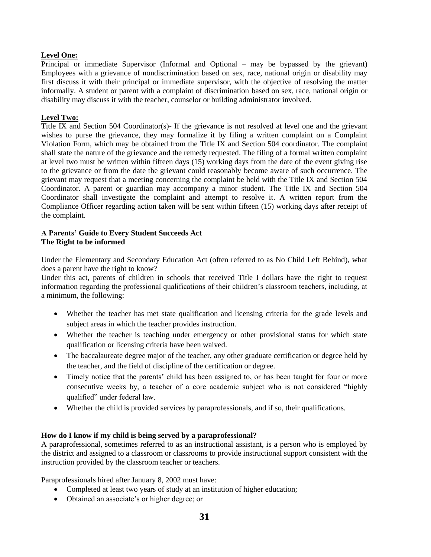#### **Level One:**

Principal or immediate Supervisor (Informal and Optional – may be bypassed by the grievant) Employees with a grievance of nondiscrimination based on sex, race, national origin or disability may first discuss it with their principal or immediate supervisor, with the objective of resolving the matter informally. A student or parent with a complaint of discrimination based on sex, race, national origin or disability may discuss it with the teacher, counselor or building administrator involved.

#### **Level Two:**

Title IX and Section 504 Coordinator(s)- If the grievance is not resolved at level one and the grievant wishes to purse the grievance, they may formalize it by filing a written complaint on a Complaint Violation Form, which may be obtained from the Title IX and Section 504 coordinator. The complaint shall state the nature of the grievance and the remedy requested. The filing of a formal written complaint at level two must be written within fifteen days (15) working days from the date of the event giving rise to the grievance or from the date the grievant could reasonably become aware of such occurrence. The grievant may request that a meeting concerning the complaint be held with the Title IX and Section 504 Coordinator. A parent or guardian may accompany a minor student. The Title IX and Section 504 Coordinator shall investigate the complaint and attempt to resolve it. A written report from the Compliance Officer regarding action taken will be sent within fifteen (15) working days after receipt of the complaint.

#### **A Parents' Guide to Every Student Succeeds Act The Right to be informed**

Under the Elementary and Secondary Education Act (often referred to as No Child Left Behind), what does a parent have the right to know?

Under this act, parents of children in schools that received Title I dollars have the right to request information regarding the professional qualifications of their children's classroom teachers, including, at a minimum, the following:

- Whether the teacher has met state qualification and licensing criteria for the grade levels and subject areas in which the teacher provides instruction.
- Whether the teacher is teaching under emergency or other provisional status for which state qualification or licensing criteria have been waived.
- The baccalaureate degree major of the teacher, any other graduate certification or degree held by the teacher, and the field of discipline of the certification or degree.
- Timely notice that the parents' child has been assigned to, or has been taught for four or more consecutive weeks by, a teacher of a core academic subject who is not considered "highly qualified" under federal law.
- Whether the child is provided services by paraprofessionals, and if so, their qualifications.

#### **How do I know if my child is being served by a paraprofessional?**

A paraprofessional, sometimes referred to as an instructional assistant, is a person who is employed by the district and assigned to a classroom or classrooms to provide instructional support consistent with the instruction provided by the classroom teacher or teachers.

Paraprofessionals hired after January 8, 2002 must have:

- Completed at least two years of study at an institution of higher education;
- Obtained an associate's or higher degree; or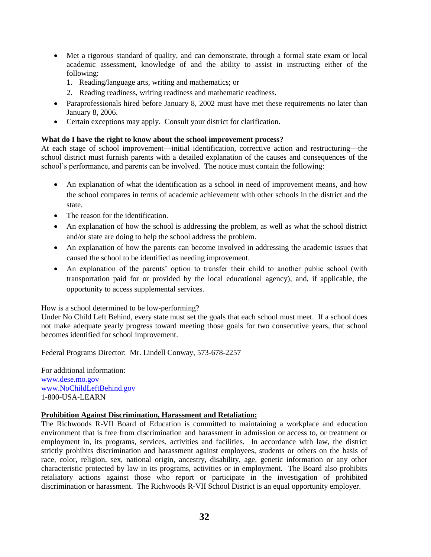- Met a rigorous standard of quality, and can demonstrate, through a formal state exam or local academic assessment, knowledge of and the ability to assist in instructing either of the following:
	- 1. Reading/language arts, writing and mathematics; or
	- 2. Reading readiness, writing readiness and mathematic readiness.
- Paraprofessionals hired before January 8, 2002 must have met these requirements no later than January 8, 2006.
- Certain exceptions may apply. Consult your district for clarification.

#### **What do I have the right to know about the school improvement process?**

At each stage of school improvement—initial identification, corrective action and restructuring—the school district must furnish parents with a detailed explanation of the causes and consequences of the school's performance, and parents can be involved. The notice must contain the following:

- An explanation of what the identification as a school in need of improvement means, and how the school compares in terms of academic achievement with other schools in the district and the state.
- The reason for the identification.
- An explanation of how the school is addressing the problem, as well as what the school district and/or state are doing to help the school address the problem.
- An explanation of how the parents can become involved in addressing the academic issues that caused the school to be identified as needing improvement.
- An explanation of the parents' option to transfer their child to another public school (with transportation paid for or provided by the local educational agency), and, if applicable, the opportunity to access supplemental services.

#### How is a school determined to be low-performing?

Under No Child Left Behind, every state must set the goals that each school must meet. If a school does not make adequate yearly progress toward meeting those goals for two consecutive years, that school becomes identified for school improvement.

Federal Programs Director: Mr. Lindell Conway, 573-678-2257

For additional information: [www.dese.mo.gov](http://www.dese.mo.gov/) [www.NoChildLeftBehind.gov](http://www.nochildleftbehind.gov/) 1-800-USA-LEARN

#### **Prohibition Against Discrimination, Harassment and Retaliation:**

The Richwoods R-VII Board of Education is committed to maintaining a workplace and education environment that is free from discrimination and harassment in admission or access to, or treatment or employment in, its programs, services, activities and facilities. In accordance with law, the district strictly prohibits discrimination and harassment against employees, students or others on the basis of race, color, religion, sex, national origin, ancestry, disability, age, genetic information or any other characteristic protected by law in its programs, activities or in employment. The Board also prohibits retaliatory actions against those who report or participate in the investigation of prohibited discrimination or harassment. The Richwoods R-VII School District is an equal opportunity employer.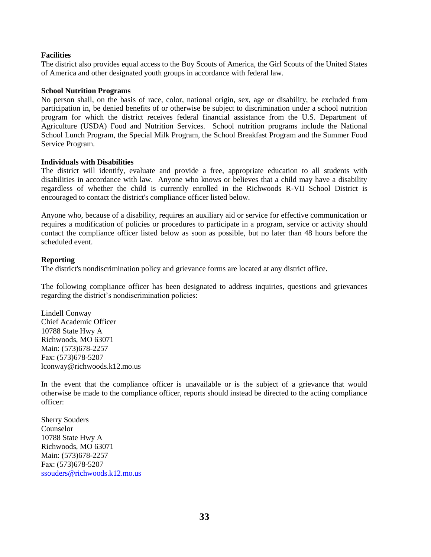#### **Facilities**

The district also provides equal access to the Boy Scouts of America, the Girl Scouts of the United States of America and other designated youth groups in accordance with federal law.

#### **School Nutrition Programs**

No person shall, on the basis of race, color, national origin, sex, age or disability, be excluded from participation in, be denied benefits of or otherwise be subject to discrimination under a school nutrition program for which the district receives federal financial assistance from the U.S. Department of Agriculture (USDA) Food and Nutrition Services. School nutrition programs include the National School Lunch Program, the Special Milk Program, the School Breakfast Program and the Summer Food Service Program.

#### **Individuals with Disabilities**

The district will identify, evaluate and provide a free, appropriate education to all students with disabilities in accordance with law. Anyone who knows or believes that a child may have a disability regardless of whether the child is currently enrolled in the Richwoods R-VII School District is encouraged to contact the district's compliance officer listed below.

Anyone who, because of a disability, requires an auxiliary aid or service for effective communication or requires a modification of policies or procedures to participate in a program, service or activity should contact the compliance officer listed below as soon as possible, but no later than 48 hours before the scheduled event.

#### **Reporting**

The district's nondiscrimination policy and grievance forms are located at any district office.

The following compliance officer has been designated to address inquiries, questions and grievances regarding the district's nondiscrimination policies:

Lindell Conway Chief Academic Officer 10788 State Hwy A Richwoods, MO 63071 Main: (573)678-2257 Fax: (573)678-5207 lconway@richwoods.k12.mo.us

In the event that the compliance officer is unavailable or is the subject of a grievance that would otherwise be made to the compliance officer, reports should instead be directed to the acting compliance officer:

Sherry Souders Counselor 10788 State Hwy A Richwoods, MO 63071 Main: (573)678-2257 Fax: (573)678-5207 [ssouders@richwoods.k12.mo.us](mailto:ssouders@richwoods.k12.mo.us)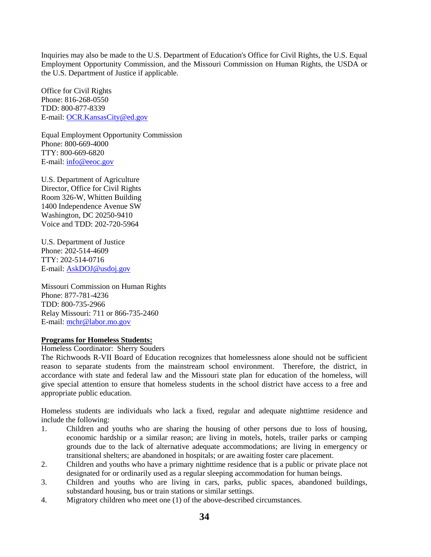Inquiries may also be made to the U.S. Department of Education's Office for Civil Rights, the U.S. Equal Employment Opportunity Commission, and the Missouri Commission on Human Rights, the USDA or the U.S. Department of Justice if applicable.

Office for Civil Rights Phone: 816-268-0550 TDD: 800-877-8339 E-mail: OCR.KansasCity@ed.gov

Equal Employment Opportunity Commission Phone: 800-669-4000 TTY: 800-669-6820 E-mail: info@eeoc.gov

U.S. Department of Agriculture Director, Office for Civil Rights Room 326-W, Whitten Building 1400 Independence Avenue SW Washington, DC 20250-9410 Voice and TDD: 202-720-5964

U.S. Department of Justice Phone: 202-514-4609 TTY: 202-514-0716 E-mail: AskDOJ@usdoj.gov

Missouri Commission on Human Rights Phone: 877-781-4236 TDD: 800-735-2966 Relay Missouri: 711 or 866-735-2460 E-mail: mchr@labor.mo.gov

#### **Programs for Homeless Students:**

Homeless Coordinator: Sherry Souders

The Richwoods R-VII Board of Education recognizes that homelessness alone should not be sufficient reason to separate students from the mainstream school environment. Therefore, the district, in accordance with state and federal law and the Missouri state plan for education of the homeless, will give special attention to ensure that homeless students in the school district have access to a free and appropriate public education.

Homeless students are individuals who lack a fixed, regular and adequate nighttime residence and include the following:

- 1. Children and youths who are sharing the housing of other persons due to loss of housing, economic hardship or a similar reason; are living in motels, hotels, trailer parks or camping grounds due to the lack of alternative adequate accommodations; are living in emergency or transitional shelters; are abandoned in hospitals; or are awaiting foster care placement.
- 2. Children and youths who have a primary nighttime residence that is a public or private place not designated for or ordinarily used as a regular sleeping accommodation for human beings.
- 3. Children and youths who are living in cars, parks, public spaces, abandoned buildings, substandard housing, bus or train stations or similar settings.
- 4. Migratory children who meet one (1) of the above-described circumstances.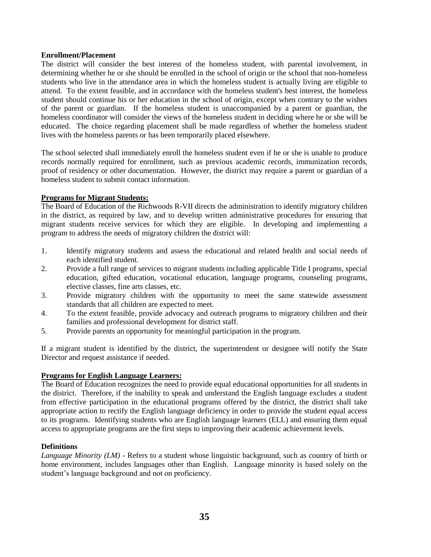#### **Enrollment/Placement**

The district will consider the best interest of the homeless student, with parental involvement, in determining whether he or she should be enrolled in the school of origin or the school that non-homeless students who live in the attendance area in which the homeless student is actually living are eligible to attend. To the extent feasible, and in accordance with the homeless student's best interest, the homeless student should continue his or her education in the school of origin, except when contrary to the wishes of the parent or guardian. If the homeless student is unaccompanied by a parent or guardian, the homeless coordinator will consider the views of the homeless student in deciding where he or she will be educated. The choice regarding placement shall be made regardless of whether the homeless student lives with the homeless parents or has been temporarily placed elsewhere.

The school selected shall immediately enroll the homeless student even if he or she is unable to produce records normally required for enrollment, such as previous academic records, immunization records, proof of residency or other documentation. However, the district may require a parent or guardian of a homeless student to submit contact information.

#### **Programs for Migrant Students:**

The Board of Education of the Richwoods R-VII directs the administration to identify migratory children in the district, as required by law, and to develop written administrative procedures for ensuring that migrant students receive services for which they are eligible. In developing and implementing a program to address the needs of migratory children the district will:

- 1. Identify migratory students and assess the educational and related health and social needs of each identified student.
- 2. Provide a full range of services to migrant students including applicable Title I programs, special education, gifted education, vocational education, language programs, counseling programs, elective classes, fine arts classes, etc.
- 3. Provide migratory children with the opportunity to meet the same statewide assessment standards that all children are expected to meet.
- 4. To the extent feasible, provide advocacy and outreach programs to migratory children and their families and professional development for district staff.
- 5. Provide parents an opportunity for meaningful participation in the program.

If a migrant student is identified by the district, the superintendent or designee will notify the State Director and request assistance if needed.

#### **Programs for English Language Learners:**

The Board of Education recognizes the need to provide equal educational opportunities for all students in the district. Therefore, if the inability to speak and understand the English language excludes a student from effective participation in the educational programs offered by the district, the district shall take appropriate action to rectify the English language deficiency in order to provide the student equal access to its programs. Identifying students who are English language learners (ELL) and ensuring them equal access to appropriate programs are the first steps to improving their academic achievement levels.

#### **Definitions**

*Language Minority (LM)* - Refers to a student whose linguistic background, such as country of birth or home environment, includes languages other than English. Language minority is based solely on the student's language background and not on proficiency.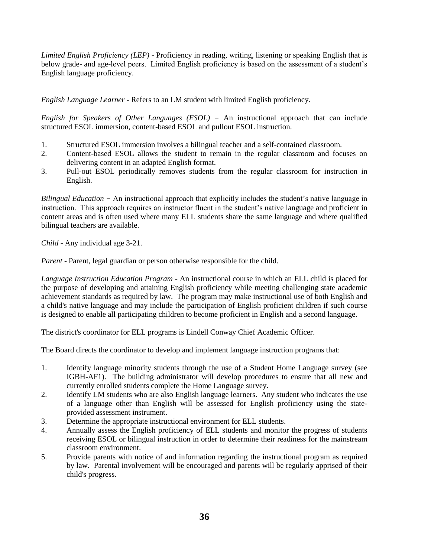*Limited English Proficiency (LEP)* - Proficiency in reading, writing, listening or speaking English that is below grade- and age-level peers. Limited English proficiency is based on the assessment of a student's English language proficiency.

*English Language Learner* - Refers to an LM student with limited English proficiency.

*English for Speakers of Other Languages (ESOL)* - An instructional approach that can include structured ESOL immersion, content-based ESOL and pullout ESOL instruction.

- 1. Structured ESOL immersion involves a bilingual teacher and a self-contained classroom.
- 2. Content-based ESOL allows the student to remain in the regular classroom and focuses on delivering content in an adapted English format.
- 3. Pull-out ESOL periodically removes students from the regular classroom for instruction in English.

*Bilingual Education* - An instructional approach that explicitly includes the student's native language in instruction. This approach requires an instructor fluent in the student's native language and proficient in content areas and is often used where many ELL students share the same language and where qualified bilingual teachers are available.

*Child* - Any individual age 3-21.

*Parent* - Parent, legal guardian or person otherwise responsible for the child.

*Language Instruction Education Program* - An instructional course in which an ELL child is placed for the purpose of developing and attaining English proficiency while meeting challenging state academic achievement standards as required by law. The program may make instructional use of both English and a child's native language and may include the participation of English proficient children if such course is designed to enable all participating children to become proficient in English and a second language.

The district's coordinator for ELL programs is Lindell Conway Chief Academic Officer.

The Board directs the coordinator to develop and implement language instruction programs that:

- 1. Identify language minority students through the use of a Student Home Language survey (see IGBH-AF1). The building administrator will develop procedures to ensure that all new and currently enrolled students complete the Home Language survey.
- 2. Identify LM students who are also English language learners. Any student who indicates the use of a language other than English will be assessed for English proficiency using the stateprovided assessment instrument.
- 3. Determine the appropriate instructional environment for ELL students.
- 4. Annually assess the English proficiency of ELL students and monitor the progress of students receiving ESOL or bilingual instruction in order to determine their readiness for the mainstream classroom environment.
- 5. Provide parents with notice of and information regarding the instructional program as required by law. Parental involvement will be encouraged and parents will be regularly apprised of their child's progress.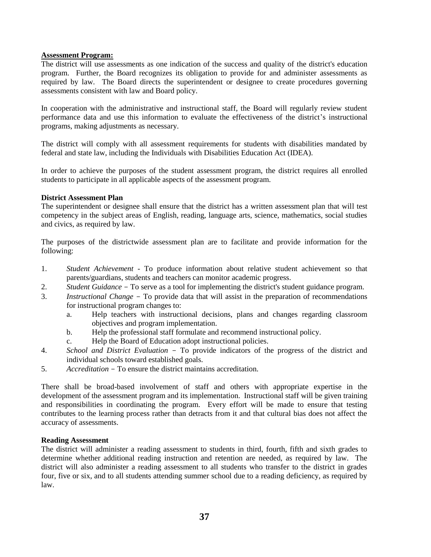#### **Assessment Program:**

The district will use assessments as one indication of the success and quality of the district's education program. Further, the Board recognizes its obligation to provide for and administer assessments as required by law. The Board directs the superintendent or designee to create procedures governing assessments consistent with law and Board policy.

In cooperation with the administrative and instructional staff, the Board will regularly review student performance data and use this information to evaluate the effectiveness of the district's instructional programs, making adjustments as necessary.

The district will comply with all assessment requirements for students with disabilities mandated by federal and state law, including the Individuals with Disabilities Education Act (IDEA).

In order to achieve the purposes of the student assessment program, the district requires all enrolled students to participate in all applicable aspects of the assessment program.

#### **District Assessment Plan**

The superintendent or designee shall ensure that the district has a written assessment plan that will test competency in the subject areas of English, reading, language arts, science, mathematics, social studies and civics, as required by law.

The purposes of the districtwide assessment plan are to facilitate and provide information for the following:

- 1. *Student Achievement* To produce information about relative student achievement so that parents/guardians, students and teachers can monitor academic progress.
- 2. *Student Guidance* To serve as a tool for implementing the district's student guidance program.
- 3. *Instructional Change* To provide data that will assist in the preparation of recommendations for instructional program changes to:
	- a. Help teachers with instructional decisions, plans and changes regarding classroom objectives and program implementation.
	- b. Help the professional staff formulate and recommend instructional policy.
	- c. Help the Board of Education adopt instructional policies.
- 4. *School and District Evaluation* To provide indicators of the progress of the district and individual schools toward established goals.
- 5. *Accreditation* To ensure the district maintains accreditation.

There shall be broad-based involvement of staff and others with appropriate expertise in the development of the assessment program and its implementation. Instructional staff will be given training and responsibilities in coordinating the program. Every effort will be made to ensure that testing contributes to the learning process rather than detracts from it and that cultural bias does not affect the accuracy of assessments.

#### **Reading Assessment**

The district will administer a reading assessment to students in third, fourth, fifth and sixth grades to determine whether additional reading instruction and retention are needed, as required by law. The district will also administer a reading assessment to all students who transfer to the district in grades four, five or six, and to all students attending summer school due to a reading deficiency, as required by law.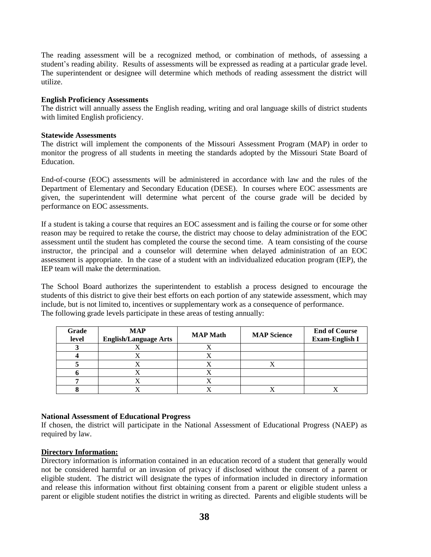The reading assessment will be a recognized method, or combination of methods, of assessing a student's reading ability. Results of assessments will be expressed as reading at a particular grade level. The superintendent or designee will determine which methods of reading assessment the district will utilize.

#### **English Proficiency Assessments**

The district will annually assess the English reading, writing and oral language skills of district students with limited English proficiency.

#### **Statewide Assessments**

The district will implement the components of the Missouri Assessment Program (MAP) in order to monitor the progress of all students in meeting the standards adopted by the Missouri State Board of Education.

End-of-course (EOC) assessments will be administered in accordance with law and the rules of the Department of Elementary and Secondary Education (DESE). In courses where EOC assessments are given, the superintendent will determine what percent of the course grade will be decided by performance on EOC assessments.

If a student is taking a course that requires an EOC assessment and is failing the course or for some other reason may be required to retake the course, the district may choose to delay administration of the EOC assessment until the student has completed the course the second time. A team consisting of the course instructor, the principal and a counselor will determine when delayed administration of an EOC assessment is appropriate. In the case of a student with an individualized education program (IEP), the IEP team will make the determination.

The School Board authorizes the superintendent to establish a process designed to encourage the students of this district to give their best efforts on each portion of any statewide assessment, which may include, but is not limited to, incentives or supplementary work as a consequence of performance. The following grade levels participate in these areas of testing annually:

| Grade<br>level | <b>MAP</b><br><b>English/Language Arts</b> | <b>MAP</b> Math | <b>MAP Science</b> | <b>End of Course</b><br><b>Exam-English I</b> |
|----------------|--------------------------------------------|-----------------|--------------------|-----------------------------------------------|
|                |                                            |                 |                    |                                               |
|                |                                            |                 |                    |                                               |
|                |                                            |                 |                    |                                               |
|                |                                            |                 |                    |                                               |
|                |                                            |                 |                    |                                               |
|                |                                            |                 |                    |                                               |

#### **National Assessment of Educational Progress**

If chosen, the district will participate in the National Assessment of Educational Progress (NAEP) as required by law.

#### **Directory Information:**

Directory information is information contained in an education record of a student that generally would not be considered harmful or an invasion of privacy if disclosed without the consent of a parent or eligible student. The district will designate the types of information included in directory information and release this information without first obtaining consent from a parent or eligible student unless a parent or eligible student notifies the district in writing as directed. Parents and eligible students will be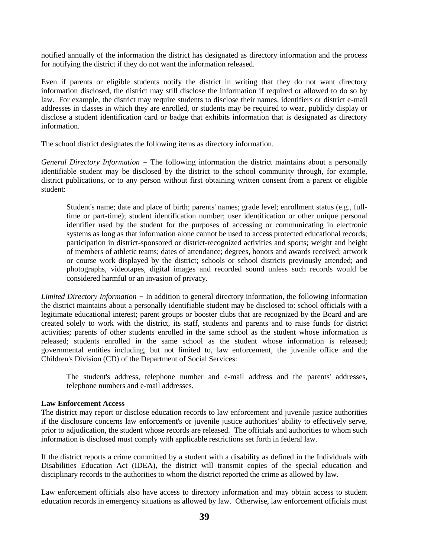notified annually of the information the district has designated as directory information and the process for notifying the district if they do not want the information released.

Even if parents or eligible students notify the district in writing that they do not want directory information disclosed, the district may still disclose the information if required or allowed to do so by law. For example, the district may require students to disclose their names, identifiers or district e-mail addresses in classes in which they are enrolled, or students may be required to wear, publicly display or disclose a student identification card or badge that exhibits information that is designated as directory information.

The school district designates the following items as directory information.

*General Directory Information* - The following information the district maintains about a personally identifiable student may be disclosed by the district to the school community through, for example, district publications, or to any person without first obtaining written consent from a parent or eligible student:

Student's name; date and place of birth; parents' names; grade level; enrollment status (e.g., fulltime or part-time); student identification number; user identification or other unique personal identifier used by the student for the purposes of accessing or communicating in electronic systems as long as that information alone cannot be used to access protected educational records; participation in district-sponsored or district-recognized activities and sports; weight and height of members of athletic teams; dates of attendance; degrees, honors and awards received; artwork or course work displayed by the district; schools or school districts previously attended; and photographs, videotapes, digital images and recorded sound unless such records would be considered harmful or an invasion of privacy.

*Limited Directory Information* - In addition to general directory information, the following information the district maintains about a personally identifiable student may be disclosed to: school officials with a legitimate educational interest; parent groups or booster clubs that are recognized by the Board and are created solely to work with the district, its staff, students and parents and to raise funds for district activities; parents of other students enrolled in the same school as the student whose information is released; students enrolled in the same school as the student whose information is released; governmental entities including, but not limited to, law enforcement, the juvenile office and the Children's Division (CD) of the Department of Social Services:

The student's address, telephone number and e-mail address and the parents' addresses, telephone numbers and e-mail addresses.

#### **Law Enforcement Access**

The district may report or disclose education records to law enforcement and juvenile justice authorities if the disclosure concerns law enforcement's or juvenile justice authorities' ability to effectively serve, prior to adjudication, the student whose records are released. The officials and authorities to whom such information is disclosed must comply with applicable restrictions set forth in federal law.

If the district reports a crime committed by a student with a disability as defined in the Individuals with Disabilities Education Act (IDEA), the district will transmit copies of the special education and disciplinary records to the authorities to whom the district reported the crime as allowed by law.

Law enforcement officials also have access to directory information and may obtain access to student education records in emergency situations as allowed by law. Otherwise, law enforcement officials must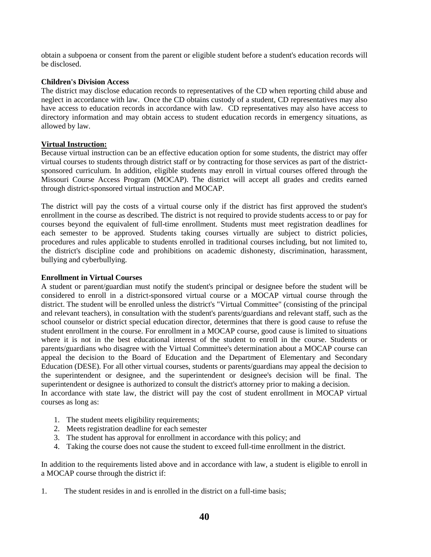obtain a subpoena or consent from the parent or eligible student before a student's education records will be disclosed.

#### **Children's Division Access**

The district may disclose education records to representatives of the CD when reporting child abuse and neglect in accordance with law. Once the CD obtains custody of a student, CD representatives may also have access to education records in accordance with law. CD representatives may also have access to directory information and may obtain access to student education records in emergency situations, as allowed by law.

#### **Virtual Instruction:**

Because virtual instruction can be an effective education option for some students, the district may offer virtual courses to students through district staff or by contracting for those services as part of the districtsponsored curriculum. In addition, eligible students may enroll in virtual courses offered through the Missouri Course Access Program (MOCAP). The district will accept all grades and credits earned through district-sponsored virtual instruction and MOCAP.

The district will pay the costs of a virtual course only if the district has first approved the student's enrollment in the course as described. The district is not required to provide students access to or pay for courses beyond the equivalent of full-time enrollment. Students must meet registration deadlines for each semester to be approved. Students taking courses virtually are subject to district policies, procedures and rules applicable to students enrolled in traditional courses including, but not limited to, the district's discipline code and prohibitions on academic dishonesty, discrimination, harassment, bullying and cyberbullying.

#### **Enrollment in Virtual Courses**

A student or parent/guardian must notify the student's principal or designee before the student will be considered to enroll in a district-sponsored virtual course or a MOCAP virtual course through the district. The student will be enrolled unless the district's "Virtual Committee" (consisting of the principal and relevant teachers), in consultation with the student's parents/guardians and relevant staff, such as the school counselor or district special education director, determines that there is good cause to refuse the student enrollment in the course. For enrollment in a MOCAP course, good cause is limited to situations where it is not in the best educational interest of the student to enroll in the course. Students or parents/guardians who disagree with the Virtual Committee's determination about a MOCAP course can appeal the decision to the Board of Education and the Department of Elementary and Secondary Education (DESE). For all other virtual courses, students or parents/guardians may appeal the decision to the superintendent or designee, and the superintendent or designee's decision will be final. The superintendent or designee is authorized to consult the district's attorney prior to making a decision. In accordance with state law, the district will pay the cost of student enrollment in MOCAP virtual courses as long as:

- 1. The student meets eligibility requirements;
- 2. Meets registration deadline for each semester
- 3. The student has approval for enrollment in accordance with this policy; and
- 4. Taking the course does not cause the student to exceed full-time enrollment in the district.

In addition to the requirements listed above and in accordance with law, a student is eligible to enroll in a MOCAP course through the district if:

1. The student resides in and is enrolled in the district on a full-time basis;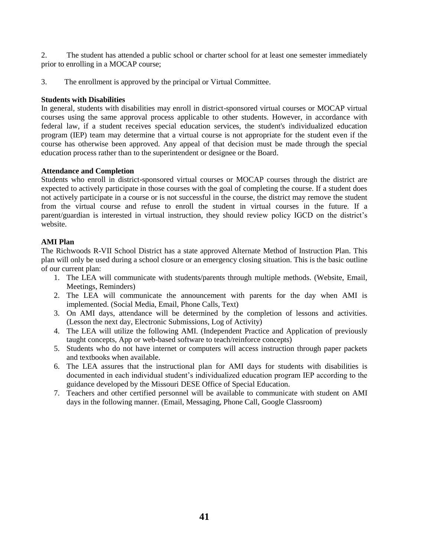2. The student has attended a public school or charter school for at least one semester immediately prior to enrolling in a MOCAP course;

3. The enrollment is approved by the principal or Virtual Committee.

#### **Students with Disabilities**

In general, students with disabilities may enroll in district-sponsored virtual courses or MOCAP virtual courses using the same approval process applicable to other students. However, in accordance with federal law, if a student receives special education services, the student's individualized education program (IEP) team may determine that a virtual course is not appropriate for the student even if the course has otherwise been approved. Any appeal of that decision must be made through the special education process rather than to the superintendent or designee or the Board.

#### **Attendance and Completion**

Students who enroll in district-sponsored virtual courses or MOCAP courses through the district are expected to actively participate in those courses with the goal of completing the course. If a student does not actively participate in a course or is not successful in the course, the district may remove the student from the virtual course and refuse to enroll the student in virtual courses in the future. If a parent/guardian is interested in virtual instruction, they should review policy IGCD on the district's website.

### **AMI Plan**

The Richwoods R-VII School District has a state approved Alternate Method of Instruction Plan. This plan will only be used during a school closure or an emergency closing situation. This is the basic outline of our current plan:

- 1. The LEA will communicate with students/parents through multiple methods. (Website, Email, Meetings, Reminders)
- 2. The LEA will communicate the announcement with parents for the day when AMI is implemented. (Social Media, Email, Phone Calls, Text)
- 3. On AMI days, attendance will be determined by the completion of lessons and activities. (Lesson the next day, Electronic Submissions, Log of Activity)
- 4. The LEA will utilize the following AMI. (Independent Practice and Application of previously taught concepts, App or web-based software to teach/reinforce concepts)
- 5. Students who do not have internet or computers will access instruction through paper packets and textbooks when available.
- 6. The LEA assures that the instructional plan for AMI days for students with disabilities is documented in each individual student's individualized education program IEP according to the guidance developed by the Missouri DESE Office of Special Education.
- 7. Teachers and other certified personnel will be available to communicate with student on AMI days in the following manner. (Email, Messaging, Phone Call, Google Classroom)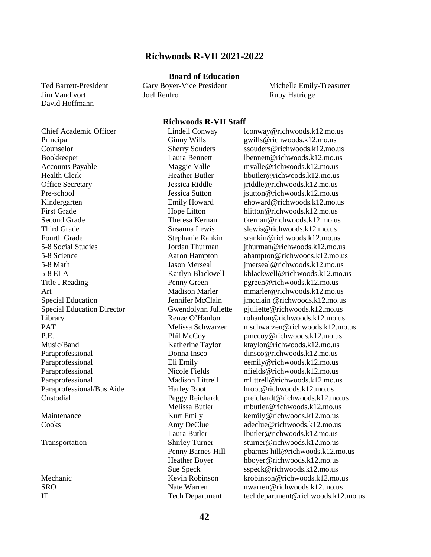### **Richwoods R-VII 2021-2022**

#### **Board of Education**

Jim Vandivort Joel Renfro Ruby Hatridge

Ted Barrett-President Gary Boyer-Vice President Michelle Emily-Treasurer

#### **Richwoods R-VII Staff**

David Hoffmann

Chief Academic Officer Lindell Conway lconway@richwoods.k12.mo.us Principal Ginny Wills gwills gwills@richwoods.k12.mo.us Counselor Sherry Souders ssouders@richwoods.k12.mo.us Bookkeeper Laura Bennett lbennett@richwoods.k12.mo.us Accounts Payable **Maggie Valle** mvalle@richwoods.k12.mo.us Health Clerk Heather Butler hbutler@richwoods.k12.mo.us Office Secretary **Secretary** Jessica Riddle *iriddle@richwoods.k12.mo.us* Pre-school Jessica Sutton jsutton@richwoods.k12.mo.us Kindergarten Emily Howard ehoward@richwoods.k12.mo.us First Grade **Hope Litton** hlitton@richwoods.k12.mo.us Second Grade Theresa Kernan tkernan@richwoods.k12.mo.us Third Grade Susanna Lewis slewis@richwoods.k12.mo.us Fourth Grade Stephanie Rankin srankin@richwoods.k12.mo.us 5-8 Social Studies Jordan Thurman jthurman@richwoods.k12.mo.us 5-8 Science Aaron Hampton ahampton@richwoods.k12.mo.us 5-8 Math Jason Merseal jmerseal@richwoods.k12.mo.us 5-8 ELA Kaitlyn Blackwell kblackwell@richwoods.k12.mo.us Title I Reading Penny Green pgreen@richwoods.k12.mo.us Art Madison Marler mmarler@richwoods.k12.mo.us Special Education Jennifer McClain jmcclain @richwoods.k12.mo.us Special Education Director Gwendolynn Juliette gjuliette@richwoods.k12.mo.us Library Renee O'Hanlon rohanlon@richwoods.k12.mo.us PAT Melissa Schwarzen mschwarzen@richwoods.k12.mo.us P.E. Phil McCoy pmccoy@richwoods.k12.mo.us Music/Band Katherine Taylor ktaylor@richwoods.k12.mo.us Paraprofessional Donna Insco dinsco@richwoods.k12.mo.us Paraprofessional Eli Emily eemily@richwoods.k12.mo.us Paraprofessional Nicole Fields nfields@richwoods.k12.mo.us Paraprofessional Madison Littrell mlittrell@richwoods.k12.mo.us Paraprofessional/Bus Aide Harley Root hroot@richwoods.k12.mo.us Custodial Peggy Reichardt preichardt@richwoods.k12.mo.us Melissa Butler mbutler@richwoods.k12.mo.us Maintenance **Kurt Emily** kemily@richwoods.k12.mo.us Cooks Amy DeClue adeclue@richwoods.k12.mo.us Laura Butler lbutler@richwoods.k12.mo.us Transportation Shirley Turner sturner@richwoods.k12.mo.us Penny Barnes-Hill pbarnes-hill@richwoods.k12.mo.us Heather Boyer hboyer@richwoods.k12.mo.us Sue Speck sspeck@richwoods.k12.mo.us Mechanic Kevin Robinson krobinson@richwoods.k12.mo.us SRO Nate Warren nwarren@richwoods.k12.mo.us IT Tech Department techdepartment@richwoods.k12.mo.us